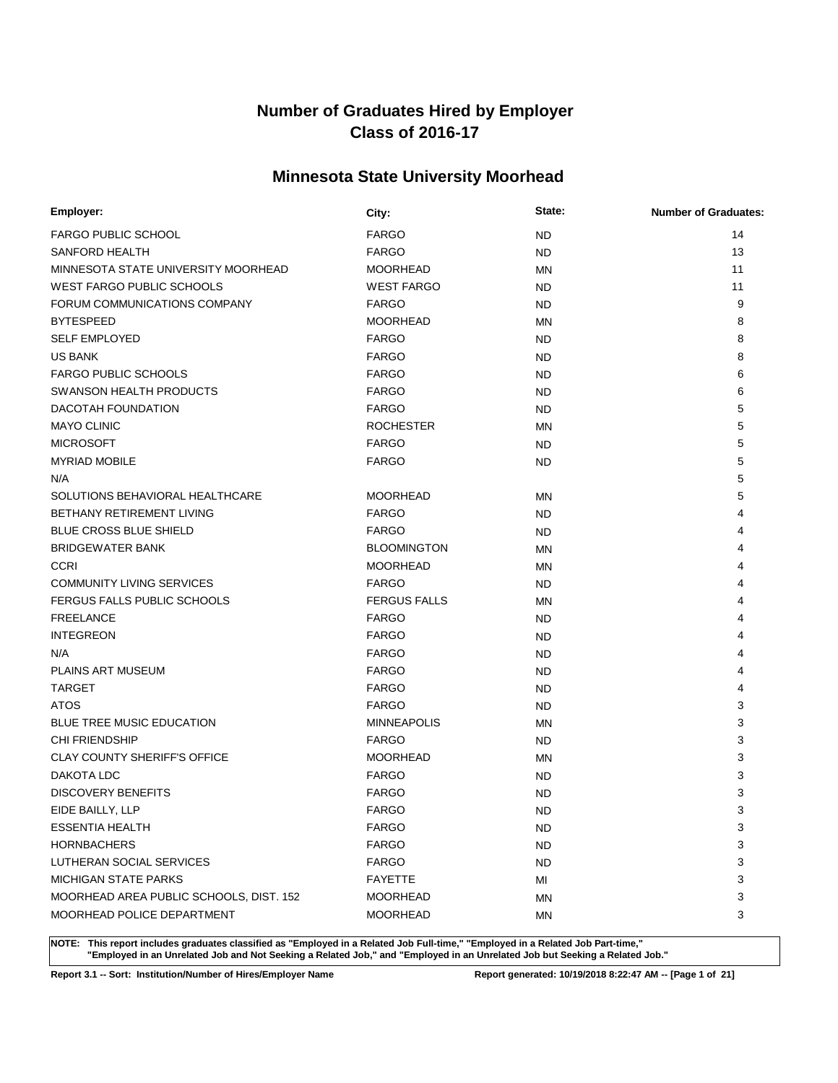# **Minnesota State University Moorhead**

| Employer:                               | City:               | State:    | <b>Number of Graduates:</b> |
|-----------------------------------------|---------------------|-----------|-----------------------------|
| <b>FARGO PUBLIC SCHOOL</b>              | <b>FARGO</b>        | <b>ND</b> | 14                          |
| SANFORD HEALTH                          | <b>FARGO</b>        | <b>ND</b> | 13                          |
| MINNESOTA STATE UNIVERSITY MOORHEAD     | <b>MOORHEAD</b>     | <b>MN</b> | 11                          |
| WEST FARGO PUBLIC SCHOOLS               | <b>WEST FARGO</b>   | <b>ND</b> | 11                          |
| FORUM COMMUNICATIONS COMPANY            | <b>FARGO</b>        | <b>ND</b> | 9                           |
| <b>BYTESPEED</b>                        | <b>MOORHEAD</b>     | MN        | 8                           |
| <b>SELF EMPLOYED</b>                    | <b>FARGO</b>        | <b>ND</b> | 8                           |
| <b>US BANK</b>                          | <b>FARGO</b>        | <b>ND</b> | 8                           |
| <b>FARGO PUBLIC SCHOOLS</b>             | <b>FARGO</b>        | <b>ND</b> | 6                           |
| SWANSON HEALTH PRODUCTS                 | <b>FARGO</b>        | <b>ND</b> | 6                           |
| DACOTAH FOUNDATION                      | <b>FARGO</b>        | <b>ND</b> | 5                           |
| <b>MAYO CLINIC</b>                      | <b>ROCHESTER</b>    | <b>MN</b> | 5                           |
| <b>MICROSOFT</b>                        | <b>FARGO</b>        | <b>ND</b> | 5                           |
| <b>MYRIAD MOBILE</b>                    | <b>FARGO</b>        | <b>ND</b> | 5                           |
| N/A                                     |                     |           | 5                           |
| SOLUTIONS BEHAVIORAL HEALTHCARE         | <b>MOORHEAD</b>     | <b>MN</b> | 5                           |
| <b>BETHANY RETIREMENT LIVING</b>        | <b>FARGO</b>        | <b>ND</b> | 4                           |
| <b>BLUE CROSS BLUE SHIELD</b>           | <b>FARGO</b>        | <b>ND</b> | 4                           |
| <b>BRIDGEWATER BANK</b>                 | <b>BLOOMINGTON</b>  | <b>MN</b> | 4                           |
| <b>CCRI</b>                             | <b>MOORHEAD</b>     | <b>MN</b> | 4                           |
| <b>COMMUNITY LIVING SERVICES</b>        | <b>FARGO</b>        | <b>ND</b> | 4                           |
| FERGUS FALLS PUBLIC SCHOOLS             | <b>FERGUS FALLS</b> | <b>MN</b> | 4                           |
| <b>FREELANCE</b>                        | <b>FARGO</b>        | <b>ND</b> | 4                           |
| <b>INTEGREON</b>                        | <b>FARGO</b>        | <b>ND</b> | 4                           |
| N/A                                     | <b>FARGO</b>        | <b>ND</b> | 4                           |
| PLAINS ART MUSEUM                       | <b>FARGO</b>        | <b>ND</b> | 4                           |
| <b>TARGET</b>                           | <b>FARGO</b>        | <b>ND</b> | 4                           |
| <b>ATOS</b>                             | <b>FARGO</b>        | <b>ND</b> | 3                           |
| <b>BLUE TREE MUSIC EDUCATION</b>        | <b>MINNEAPOLIS</b>  | <b>MN</b> | 3                           |
| <b>CHI FRIENDSHIP</b>                   | <b>FARGO</b>        | <b>ND</b> | 3                           |
| CLAY COUNTY SHERIFF'S OFFICE            | <b>MOORHEAD</b>     | <b>MN</b> | 3                           |
| DAKOTA LDC                              | <b>FARGO</b>        | ND.       | 3                           |
| <b>DISCOVERY BENEFITS</b>               | <b>FARGO</b>        | <b>ND</b> | 3                           |
| EIDE BAILLY, LLP                        | <b>FARGO</b>        | <b>ND</b> | 3                           |
| <b>ESSENTIA HEALTH</b>                  | <b>FARGO</b>        | <b>ND</b> | 3                           |
| <b>HORNBACHERS</b>                      | <b>FARGO</b>        | <b>ND</b> | 3                           |
| LUTHERAN SOCIAL SERVICES                | <b>FARGO</b>        | <b>ND</b> | 3                           |
| <b>MICHIGAN STATE PARKS</b>             | <b>FAYETTE</b>      | MI        | 3                           |
| MOORHEAD AREA PUBLIC SCHOOLS, DIST. 152 | <b>MOORHEAD</b>     | MN        | 3                           |
| MOORHEAD POLICE DEPARTMENT              | <b>MOORHEAD</b>     | MN        | 3                           |

**NOTE: This report includes graduates classified as "Employed in a Related Job Full-time," "Employed in a Related Job Part-time," "Employed in an Unrelated Job and Not Seeking a Related Job," and "Employed in an Unrelated Job but Seeking a Related Job."**

**Report 3.1 -- Sort: Institution/Number of Hires/Employer Name Report generated: 10/19/2018 8:22:47 AM -- [Page 1 of 21]**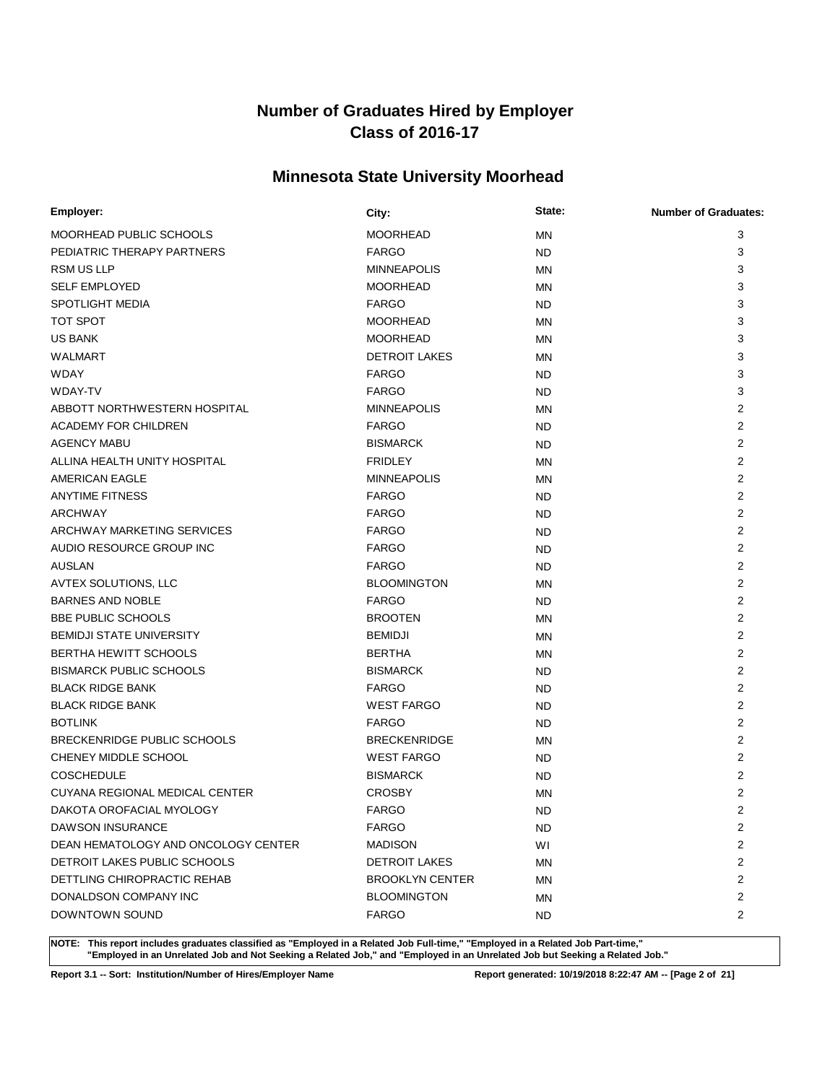# **Minnesota State University Moorhead**

| Employer:                           | City:                  | State:    | <b>Number of Graduates:</b> |
|-------------------------------------|------------------------|-----------|-----------------------------|
| MOORHEAD PUBLIC SCHOOLS             | <b>MOORHEAD</b>        | <b>MN</b> | 3                           |
| PEDIATRIC THERAPY PARTNERS          | <b>FARGO</b>           | <b>ND</b> | 3                           |
| <b>RSM US LLP</b>                   | <b>MINNEAPOLIS</b>     | <b>MN</b> | 3                           |
| <b>SELF EMPLOYED</b>                | <b>MOORHEAD</b>        | MN        | 3                           |
| <b>SPOTLIGHT MEDIA</b>              | <b>FARGO</b>           | <b>ND</b> | 3                           |
| TOT SPOT                            | <b>MOORHEAD</b>        | <b>MN</b> | 3                           |
| <b>US BANK</b>                      | <b>MOORHEAD</b>        | <b>MN</b> | 3                           |
| <b>WALMART</b>                      | <b>DETROIT LAKES</b>   | <b>MN</b> | 3                           |
| <b>WDAY</b>                         | <b>FARGO</b>           | <b>ND</b> | 3                           |
| <b>WDAY-TV</b>                      | <b>FARGO</b>           | <b>ND</b> | 3                           |
| ABBOTT NORTHWESTERN HOSPITAL        | <b>MINNEAPOLIS</b>     | <b>MN</b> | $\overline{2}$              |
| <b>ACADEMY FOR CHILDREN</b>         | <b>FARGO</b>           | <b>ND</b> | $\overline{2}$              |
| <b>AGENCY MABU</b>                  | <b>BISMARCK</b>        | <b>ND</b> | 2                           |
| ALLINA HEALTH UNITY HOSPITAL        | <b>FRIDLEY</b>         | <b>MN</b> | $\overline{2}$              |
| AMERICAN EAGLE                      | <b>MINNEAPOLIS</b>     | <b>MN</b> | 2                           |
| <b>ANYTIME FITNESS</b>              | <b>FARGO</b>           | <b>ND</b> | $\overline{2}$              |
| ARCHWAY                             | <b>FARGO</b>           | <b>ND</b> | 2                           |
| ARCHWAY MARKETING SERVICES          | <b>FARGO</b>           | <b>ND</b> | 2                           |
| AUDIO RESOURCE GROUP INC            | <b>FARGO</b>           | <b>ND</b> | 2                           |
| <b>AUSLAN</b>                       | <b>FARGO</b>           | <b>ND</b> | $\overline{2}$              |
| AVTEX SOLUTIONS, LLC                | <b>BLOOMINGTON</b>     | MN        | 2                           |
| <b>BARNES AND NOBLE</b>             | <b>FARGO</b>           | <b>ND</b> | 2                           |
| <b>BBE PUBLIC SCHOOLS</b>           | <b>BROOTEN</b>         | <b>MN</b> | 2                           |
| <b>BEMIDJI STATE UNIVERSITY</b>     | <b>BEMIDJI</b>         | ΜN        | $\overline{2}$              |
| <b>BERTHA HEWITT SCHOOLS</b>        | <b>BERTHA</b>          | <b>MN</b> | 2                           |
| <b>BISMARCK PUBLIC SCHOOLS</b>      | <b>BISMARCK</b>        | <b>ND</b> | $\overline{2}$              |
| <b>BLACK RIDGE BANK</b>             | <b>FARGO</b>           | <b>ND</b> | $\overline{2}$              |
| <b>BLACK RIDGE BANK</b>             | <b>WEST FARGO</b>      | <b>ND</b> | $\overline{2}$              |
| <b>BOTLINK</b>                      | <b>FARGO</b>           | <b>ND</b> | $\overline{2}$              |
| BRECKENRIDGE PUBLIC SCHOOLS         | <b>BRECKENRIDGE</b>    | <b>MN</b> | $\overline{2}$              |
| CHENEY MIDDLE SCHOOL                | <b>WEST FARGO</b>      | <b>ND</b> | $\overline{2}$              |
| <b>COSCHEDULE</b>                   | <b>BISMARCK</b>        | ND        | $\overline{2}$              |
| CUYANA REGIONAL MEDICAL CENTER      | <b>CROSBY</b>          | <b>MN</b> | $\overline{2}$              |
| DAKOTA OROFACIAL MYOLOGY            | <b>FARGO</b>           | <b>ND</b> | 2                           |
| <b>DAWSON INSURANCE</b>             | <b>FARGO</b>           | <b>ND</b> | 2                           |
| DEAN HEMATOLOGY AND ONCOLOGY CENTER | <b>MADISON</b>         | WI        | 2                           |
| DETROIT LAKES PUBLIC SCHOOLS        | <b>DETROIT LAKES</b>   | MN        | 2                           |
| DETTLING CHIROPRACTIC REHAB         | <b>BROOKLYN CENTER</b> | MN        | 2                           |
| DONALDSON COMPANY INC               | <b>BLOOMINGTON</b>     | ΜN        | $\overline{2}$              |
| DOWNTOWN SOUND                      | <b>FARGO</b>           | <b>ND</b> | 2                           |

**NOTE: This report includes graduates classified as "Employed in a Related Job Full-time," "Employed in a Related Job Part-time," "Employed in an Unrelated Job and Not Seeking a Related Job," and "Employed in an Unrelated Job but Seeking a Related Job."**

**Report 3.1 -- Sort: Institution/Number of Hires/Employer Name Report generated: 10/19/2018 8:22:47 AM -- [Page 2 of 21]**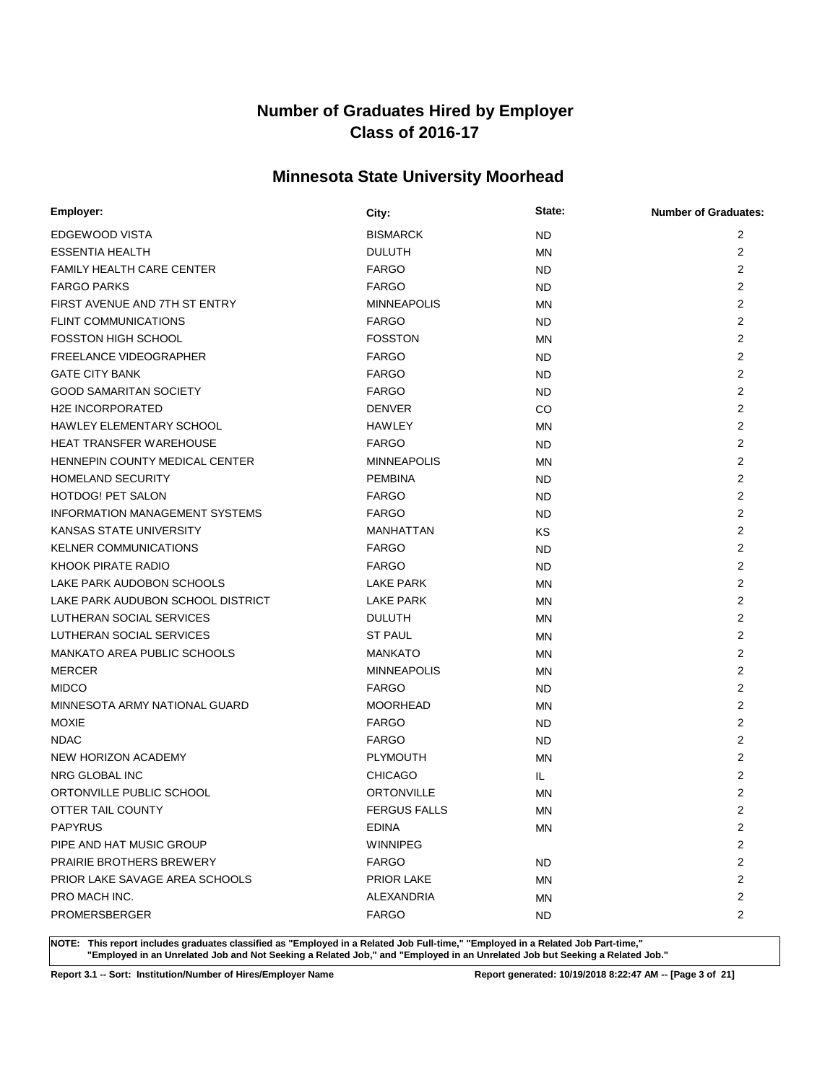# **Minnesota State University Moorhead**

| Employer:                             | City:               | State:    | <b>Number of Graduates:</b> |
|---------------------------------------|---------------------|-----------|-----------------------------|
| EDGEWOOD VISTA                        | <b>BISMARCK</b>     | <b>ND</b> | 2                           |
| <b>ESSENTIA HEALTH</b>                | <b>DULUTH</b>       | <b>MN</b> | $\overline{2}$              |
| <b>FAMILY HEALTH CARE CENTER</b>      | <b>FARGO</b>        | ND.       | $\overline{2}$              |
| <b>FARGO PARKS</b>                    | <b>FARGO</b>        | <b>ND</b> | $\overline{2}$              |
| FIRST AVENUE AND 7TH ST ENTRY         | <b>MINNEAPOLIS</b>  | <b>MN</b> | $\overline{2}$              |
| <b>FLINT COMMUNICATIONS</b>           | <b>FARGO</b>        | ND.       | $\overline{2}$              |
| <b>FOSSTON HIGH SCHOOL</b>            | <b>FOSSTON</b>      | <b>MN</b> | $\overline{2}$              |
| <b>FREELANCE VIDEOGRAPHER</b>         | <b>FARGO</b>        | ND.       | 2                           |
| <b>GATE CITY BANK</b>                 | <b>FARGO</b>        | ND        | $\overline{2}$              |
| <b>GOOD SAMARITAN SOCIETY</b>         | <b>FARGO</b>        | <b>ND</b> | $\overline{2}$              |
| <b>H2E INCORPORATED</b>               | <b>DENVER</b>       | CO        | $\overline{2}$              |
| HAWLEY ELEMENTARY SCHOOL              | <b>HAWLEY</b>       | <b>MN</b> | $\overline{2}$              |
| <b>HEAT TRANSFER WAREHOUSE</b>        | <b>FARGO</b>        | <b>ND</b> | $\overline{2}$              |
| HENNEPIN COUNTY MEDICAL CENTER        | <b>MINNEAPOLIS</b>  | <b>MN</b> | $\overline{2}$              |
| <b>HOMELAND SECURITY</b>              | <b>PEMBINA</b>      | ND.       | $\overline{2}$              |
| <b>HOTDOG! PET SALON</b>              | <b>FARGO</b>        | ND        | 2                           |
| <b>INFORMATION MANAGEMENT SYSTEMS</b> | <b>FARGO</b>        | ND        | $\overline{2}$              |
| <b>KANSAS STATE UNIVERSITY</b>        | MANHATTAN           | ΚS        | 2                           |
| <b>KELNER COMMUNICATIONS</b>          | <b>FARGO</b>        | <b>ND</b> | 2                           |
| KHOOK PIRATE RADIO                    | <b>FARGO</b>        | <b>ND</b> | 2                           |
| LAKE PARK AUDOBON SCHOOLS             | <b>LAKE PARK</b>    | <b>MN</b> | 2                           |
| LAKE PARK AUDUBON SCHOOL DISTRICT     | <b>LAKE PARK</b>    | <b>MN</b> | 2                           |
| LUTHERAN SOCIAL SERVICES              | <b>DULUTH</b>       | MN        | 2                           |
| LUTHERAN SOCIAL SERVICES              | <b>ST PAUL</b>      | <b>MN</b> | 2                           |
| MANKATO AREA PUBLIC SCHOOLS           | <b>MANKATO</b>      | <b>MN</b> | 2                           |
| <b>MERCER</b>                         | <b>MINNEAPOLIS</b>  | <b>MN</b> | 2                           |
| <b>MIDCO</b>                          | <b>FARGO</b>        | ND.       | 2                           |
| MINNESOTA ARMY NATIONAL GUARD         | <b>MOORHEAD</b>     | <b>MN</b> | 2                           |
| <b>MOXIE</b>                          | <b>FARGO</b>        | <b>ND</b> | $\overline{2}$              |
| <b>NDAC</b>                           | <b>FARGO</b>        | <b>ND</b> | 2                           |
| NEW HORIZON ACADEMY                   | <b>PLYMOUTH</b>     | <b>MN</b> | 2                           |
| NRG GLOBAL INC                        | <b>CHICAGO</b>      | IL.       | 2                           |
| ORTONVILLE PUBLIC SCHOOL              | <b>ORTONVILLE</b>   | <b>MN</b> | 2                           |
| OTTER TAIL COUNTY                     | <b>FERGUS FALLS</b> | <b>MN</b> | $\overline{2}$              |
| <b>PAPYRUS</b>                        | <b>EDINA</b>        | ΜN        | 2                           |
| PIPE AND HAT MUSIC GROUP              | <b>WINNIPEG</b>     |           | 2                           |
| <b>PRAIRIE BROTHERS BREWERY</b>       | <b>FARGO</b>        | ND.       | 2                           |
| PRIOR LAKE SAVAGE AREA SCHOOLS        | <b>PRIOR LAKE</b>   | ΜN        | 2                           |
| PRO MACH INC.                         | ALEXANDRIA          | ΜN        | 2                           |
| <b>PROMERSBERGER</b>                  | <b>FARGO</b>        | ND.       | 2                           |

**NOTE: This report includes graduates classified as "Employed in a Related Job Full-time," "Employed in a Related Job Part-time," "Employed in an Unrelated Job and Not Seeking a Related Job," and "Employed in an Unrelated Job but Seeking a Related Job."**

**Report 3.1 -- Sort: Institution/Number of Hires/Employer Name Report generated: 10/19/2018 8:22:47 AM -- [Page 3 of 21]**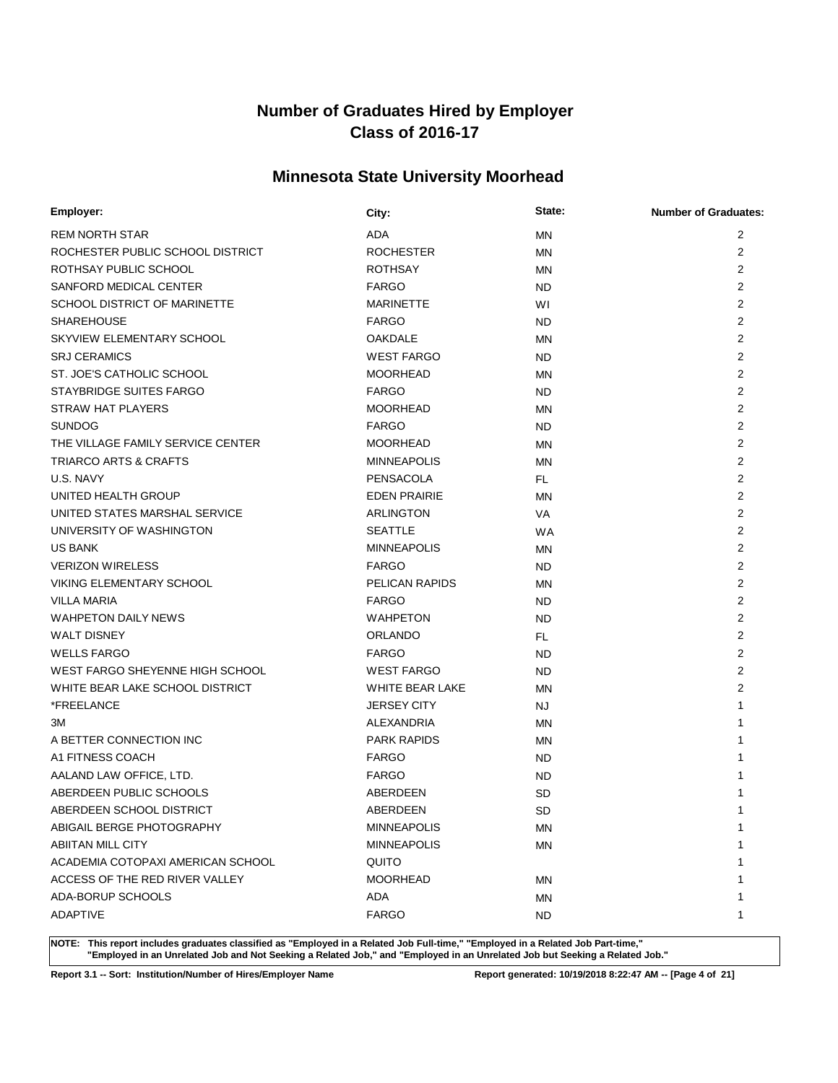# **Minnesota State University Moorhead**

| Employer:                         | City:               | State:    | <b>Number of Graduates:</b> |
|-----------------------------------|---------------------|-----------|-----------------------------|
| <b>REM NORTH STAR</b>             | <b>ADA</b>          | <b>MN</b> | 2                           |
| ROCHESTER PUBLIC SCHOOL DISTRICT  | <b>ROCHESTER</b>    | <b>MN</b> | 2                           |
| ROTHSAY PUBLIC SCHOOL             | <b>ROTHSAY</b>      | <b>MN</b> | 2                           |
| SANFORD MEDICAL CENTER            | <b>FARGO</b>        | <b>ND</b> | $\overline{2}$              |
| SCHOOL DISTRICT OF MARINETTE      | <b>MARINETTE</b>    | WI        | $\overline{2}$              |
| <b>SHAREHOUSE</b>                 | <b>FARGO</b>        | <b>ND</b> | 2                           |
| SKYVIEW ELEMENTARY SCHOOL         | <b>OAKDALE</b>      | <b>MN</b> | 2                           |
| <b>SRJ CERAMICS</b>               | <b>WEST FARGO</b>   | <b>ND</b> | 2                           |
| ST. JOE'S CATHOLIC SCHOOL         | <b>MOORHEAD</b>     | <b>MN</b> | $\overline{2}$              |
| STAYBRIDGE SUITES FARGO           | <b>FARGO</b>        | <b>ND</b> | $\overline{2}$              |
| <b>STRAW HAT PLAYERS</b>          | <b>MOORHEAD</b>     | <b>MN</b> | 2                           |
| <b>SUNDOG</b>                     | <b>FARGO</b>        | <b>ND</b> | $\overline{2}$              |
| THE VILLAGE FAMILY SERVICE CENTER | <b>MOORHEAD</b>     | <b>MN</b> | $\overline{2}$              |
| <b>TRIARCO ARTS &amp; CRAFTS</b>  | <b>MINNEAPOLIS</b>  | ΜN        | $\overline{2}$              |
| U.S. NAVY                         | <b>PENSACOLA</b>    | FL.       | $\overline{2}$              |
| UNITED HEALTH GROUP               | <b>EDEN PRAIRIE</b> | MN        | 2                           |
| UNITED STATES MARSHAL SERVICE     | <b>ARLINGTON</b>    | VA        | $\overline{2}$              |
| UNIVERSITY OF WASHINGTON          | <b>SEATTLE</b>      | <b>WA</b> | $\overline{2}$              |
| <b>US BANK</b>                    | <b>MINNEAPOLIS</b>  | <b>MN</b> | $\overline{2}$              |
| <b>VERIZON WIRELESS</b>           | <b>FARGO</b>        | <b>ND</b> | $\overline{2}$              |
| <b>VIKING ELEMENTARY SCHOOL</b>   | PELICAN RAPIDS      | <b>MN</b> | $\overline{2}$              |
| <b>VILLA MARIA</b>                | <b>FARGO</b>        | <b>ND</b> | $\overline{2}$              |
| <b>WAHPETON DAILY NEWS</b>        | <b>WAHPETON</b>     | <b>ND</b> | $\overline{2}$              |
| <b>WALT DISNEY</b>                | <b>ORLANDO</b>      | FL.       | $\overline{2}$              |
| <b>WELLS FARGO</b>                | <b>FARGO</b>        | <b>ND</b> | $\overline{2}$              |
| WEST FARGO SHEYENNE HIGH SCHOOL   | <b>WEST FARGO</b>   | <b>ND</b> | $\overline{2}$              |
| WHITE BEAR LAKE SCHOOL DISTRICT   | WHITE BEAR LAKE     | <b>MN</b> | $\overline{2}$              |
| *FREELANCE                        | <b>JERSEY CITY</b>  | NJ.       | 1                           |
| ЗM                                | <b>ALEXANDRIA</b>   | <b>MN</b> |                             |
| A BETTER CONNECTION INC           | <b>PARK RAPIDS</b>  | ΜN        |                             |
| A1 FITNESS COACH                  | <b>FARGO</b>        | <b>ND</b> |                             |
| AALAND LAW OFFICE, LTD.           | <b>FARGO</b>        | ND.       |                             |
| ABERDEEN PUBLIC SCHOOLS           | ABERDEEN            | <b>SD</b> |                             |
| ABERDEEN SCHOOL DISTRICT          | ABERDEEN            | <b>SD</b> | 1                           |
| ABIGAIL BERGE PHOTOGRAPHY         | <b>MINNEAPOLIS</b>  | ΜN        | 1                           |
| <b>ABIITAN MILL CITY</b>          | <b>MINNEAPOLIS</b>  | <b>MN</b> |                             |
| ACADEMIA COTOPAXI AMERICAN SCHOOL | QUITO               |           |                             |
| ACCESS OF THE RED RIVER VALLEY    | <b>MOORHEAD</b>     | ΜN        |                             |
| ADA-BORUP SCHOOLS                 | ADA                 | ΜN        |                             |
| <b>ADAPTIVE</b>                   | <b>FARGO</b>        | <b>ND</b> | 1                           |

**NOTE: This report includes graduates classified as "Employed in a Related Job Full-time," "Employed in a Related Job Part-time," "Employed in an Unrelated Job and Not Seeking a Related Job," and "Employed in an Unrelated Job but Seeking a Related Job."**

**Report 3.1 -- Sort: Institution/Number of Hires/Employer Name Report generated: 10/19/2018 8:22:47 AM -- [Page 4 of 21]**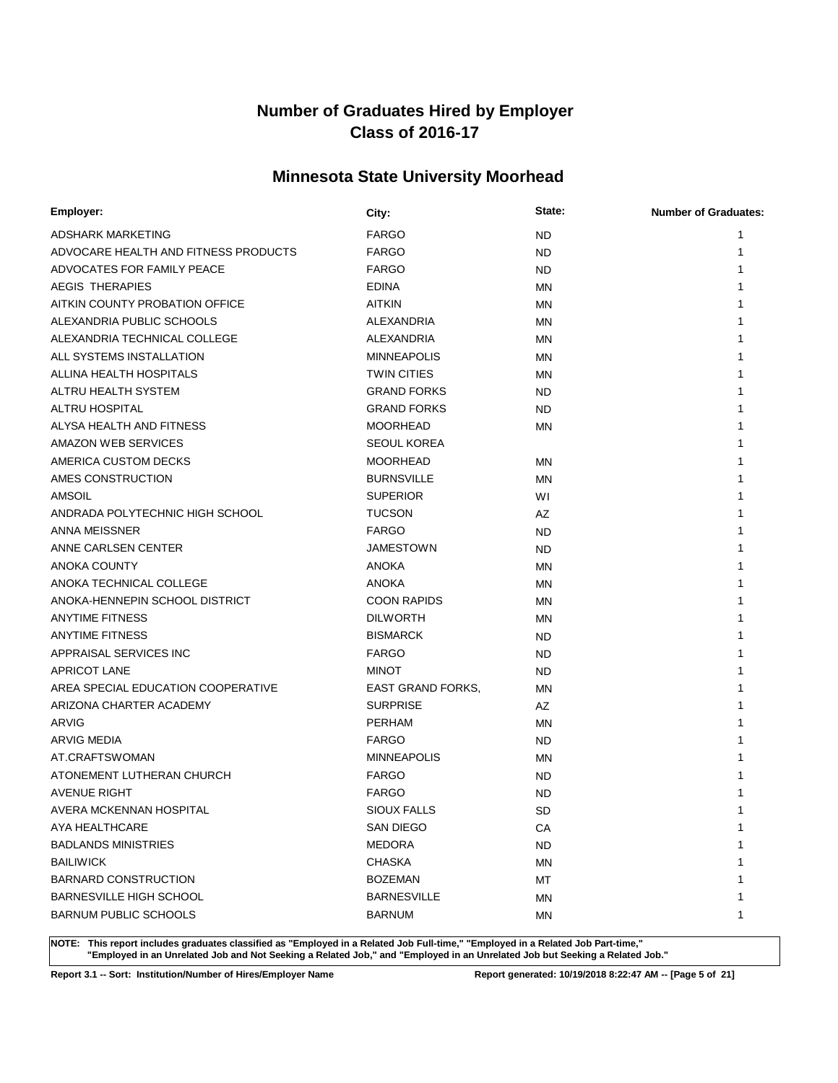# **Minnesota State University Moorhead**

| Employer:                            | City:                    | State:    | <b>Number of Graduates:</b> |
|--------------------------------------|--------------------------|-----------|-----------------------------|
| ADSHARK MARKETING                    | <b>FARGO</b>             | <b>ND</b> |                             |
| ADVOCARE HEALTH AND FITNESS PRODUCTS | <b>FARGO</b>             | <b>ND</b> |                             |
| ADVOCATES FOR FAMILY PEACE           | <b>FARGO</b>             | <b>ND</b> |                             |
| <b>AEGIS THERAPIES</b>               | <b>EDINA</b>             | <b>MN</b> |                             |
| AITKIN COUNTY PROBATION OFFICE       | <b>AITKIN</b>            | <b>MN</b> |                             |
| ALEXANDRIA PUBLIC SCHOOLS            | ALEXANDRIA               | MN        |                             |
| ALEXANDRIA TECHNICAL COLLEGE         | ALEXANDRIA               | <b>MN</b> |                             |
| ALL SYSTEMS INSTALLATION             | <b>MINNEAPOLIS</b>       | MN        |                             |
| ALLINA HEALTH HOSPITALS              | <b>TWIN CITIES</b>       | MN        |                             |
| ALTRU HEALTH SYSTEM                  | <b>GRAND FORKS</b>       | <b>ND</b> |                             |
| ALTRU HOSPITAL                       | <b>GRAND FORKS</b>       | <b>ND</b> |                             |
| ALYSA HEALTH AND FITNESS             | <b>MOORHEAD</b>          | MN        |                             |
| AMAZON WEB SERVICES                  | <b>SEOUL KOREA</b>       |           |                             |
| AMERICA CUSTOM DECKS                 | <b>MOORHEAD</b>          | MN        |                             |
| AMES CONSTRUCTION                    | <b>BURNSVILLE</b>        | <b>MN</b> |                             |
| AMSOIL                               | <b>SUPERIOR</b>          | WI        |                             |
| ANDRADA POLYTECHNIC HIGH SCHOOL      | <b>TUCSON</b>            | AZ        |                             |
| ANNA MEISSNER                        | <b>FARGO</b>             | <b>ND</b> |                             |
| ANNE CARLSEN CENTER                  | JAMESTOWN                | <b>ND</b> |                             |
| <b>ANOKA COUNTY</b>                  | <b>ANOKA</b>             | <b>MN</b> |                             |
| ANOKA TECHNICAL COLLEGE              | <b>ANOKA</b>             | <b>MN</b> |                             |
| ANOKA-HENNEPIN SCHOOL DISTRICT       | <b>COON RAPIDS</b>       | <b>MN</b> |                             |
| <b>ANYTIME FITNESS</b>               | <b>DILWORTH</b>          | <b>MN</b> |                             |
| <b>ANYTIME FITNESS</b>               | <b>BISMARCK</b>          | <b>ND</b> |                             |
| APPRAISAL SERVICES INC               | <b>FARGO</b>             | <b>ND</b> |                             |
| <b>APRICOT LANE</b>                  | <b>MINOT</b>             | <b>ND</b> |                             |
| AREA SPECIAL EDUCATION COOPERATIVE   | <b>EAST GRAND FORKS.</b> | <b>MN</b> |                             |
| ARIZONA CHARTER ACADEMY              | <b>SURPRISE</b>          | AZ        |                             |
| ARVIG                                | <b>PERHAM</b>            | <b>MN</b> |                             |
| <b>ARVIG MEDIA</b>                   | <b>FARGO</b>             | <b>ND</b> |                             |
| AT.CRAFTSWOMAN                       | <b>MINNEAPOLIS</b>       | MN        |                             |
| ATONEMENT LUTHERAN CHURCH            | <b>FARGO</b>             | ND        |                             |
| <b>AVENUE RIGHT</b>                  | FARGO                    | <b>ND</b> |                             |
| AVERA MCKENNAN HOSPITAL              | <b>SIOUX FALLS</b>       | SD        | 1                           |
| AYA HEALTHCARE                       | SAN DIEGO                | CA        | 1                           |
| <b>BADLANDS MINISTRIES</b>           | <b>MEDORA</b>            | <b>ND</b> |                             |
| <b>BAILIWICK</b>                     | <b>CHASKA</b>            | <b>MN</b> |                             |
| <b>BARNARD CONSTRUCTION</b>          | <b>BOZEMAN</b>           | МT        |                             |
| <b>BARNESVILLE HIGH SCHOOL</b>       | <b>BARNESVILLE</b>       | ΜN        |                             |
| <b>BARNUM PUBLIC SCHOOLS</b>         | <b>BARNUM</b>            | MN        | 1                           |

**NOTE: This report includes graduates classified as "Employed in a Related Job Full-time," "Employed in a Related Job Part-time," "Employed in an Unrelated Job and Not Seeking a Related Job," and "Employed in an Unrelated Job but Seeking a Related Job."**

**Report 3.1 -- Sort: Institution/Number of Hires/Employer Name Report generated: 10/19/2018 8:22:47 AM -- [Page 5 of 21]**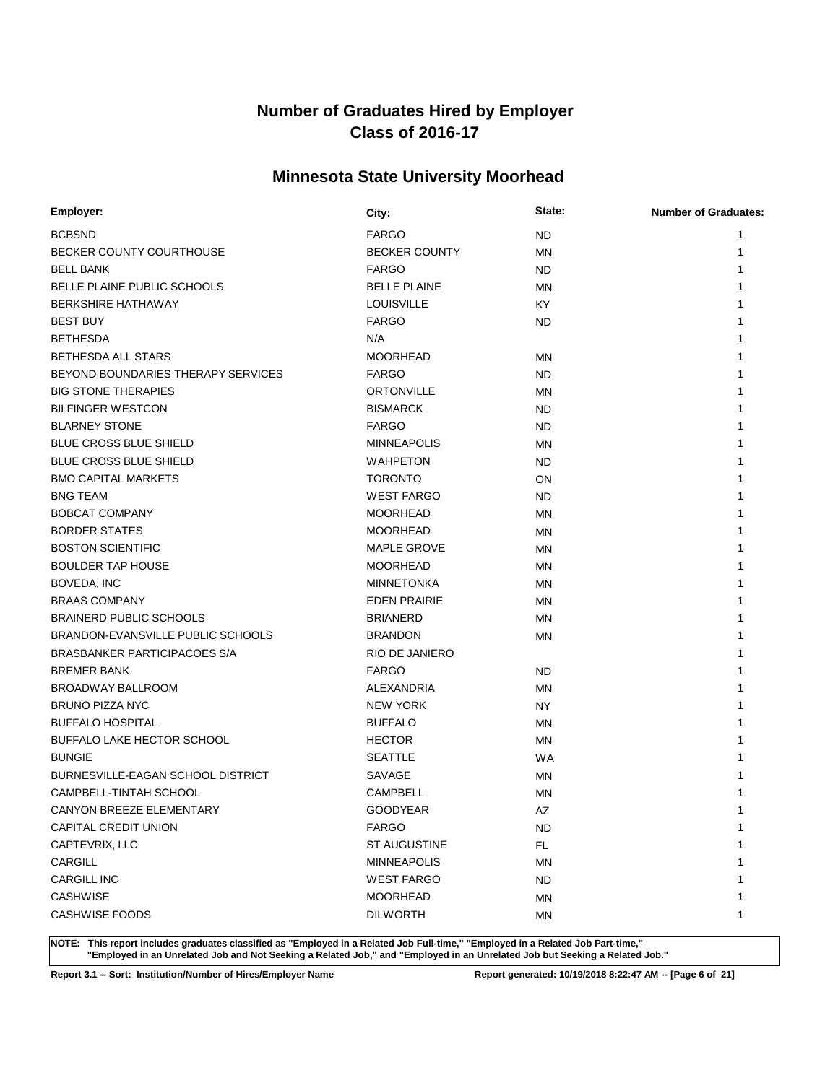# **Minnesota State University Moorhead**

| <b>BCBSND</b><br><b>FARGO</b><br><b>ND</b><br>1<br>BECKER COUNTY COURTHOUSE<br><b>BECKER COUNTY</b><br><b>MN</b><br>1<br><b>FARGO</b><br><b>BELL BANK</b><br><b>ND</b><br>BELLE PLAINE PUBLIC SCHOOLS<br><b>BELLE PLAINE</b><br><b>MN</b><br><b>BERKSHIRE HATHAWAY</b><br><b>LOUISVILLE</b><br><b>KY</b><br><b>BEST BUY</b><br><b>FARGO</b><br><b>ND</b><br><b>BETHESDA</b><br>N/A<br><b>MOORHEAD</b><br>BETHESDA ALL STARS<br><b>MN</b><br>BEYOND BOUNDARIES THERAPY SERVICES<br><b>FARGO</b><br><b>ND</b><br><b>BIG STONE THERAPIES</b><br><b>ORTONVILLE</b><br><b>MN</b><br><b>BILFINGER WESTCON</b><br><b>BISMARCK</b><br><b>ND</b><br><b>BLARNEY STONE</b><br><b>FARGO</b><br><b>ND</b><br><b>BLUE CROSS BLUE SHIELD</b><br><b>MINNEAPOLIS</b><br>MN<br><b>BLUE CROSS BLUE SHIELD</b><br><b>WAHPETON</b><br><b>ND</b><br><b>BMO CAPITAL MARKETS</b><br><b>TORONTO</b><br>ON<br><b>WEST FARGO</b><br><b>BNG TEAM</b><br>ND.<br><b>BOBCAT COMPANY</b><br><b>MOORHEAD</b><br>MN<br><b>BORDER STATES</b><br><b>MOORHEAD</b><br><b>MN</b><br><b>BOSTON SCIENTIFIC</b><br><b>MAPLE GROVE</b><br>ΜN<br><b>BOULDER TAP HOUSE</b><br><b>MOORHEAD</b><br><b>MN</b><br>1<br>BOVEDA, INC<br><b>MINNETONKA</b><br>ΜN<br>1<br><b>BRAAS COMPANY</b><br><b>EDEN PRAIRIE</b><br><b>MN</b><br>1<br><b>BRAINERD PUBLIC SCHOOLS</b><br><b>BRIANERD</b><br><b>MN</b><br>BRANDON-EVANSVILLE PUBLIC SCHOOLS<br><b>BRANDON</b><br>MN<br>BRASBANKER PARTICIPACOES S/A<br>RIO DE JANIERO<br><b>BREMER BANK</b><br><b>FARGO</b><br>ND.<br>BROADWAY BALLROOM<br><b>ALEXANDRIA</b><br><b>MN</b><br><b>BRUNO PIZZA NYC</b><br><b>NEW YORK</b><br><b>NY</b><br><b>BUFFALO HOSPITAL</b><br><b>BUFFALO</b><br><b>MN</b><br>1<br>BUFFALO LAKE HECTOR SCHOOL<br><b>HECTOR</b><br><b>MN</b><br><b>WA</b><br><b>BUNGIE</b><br><b>SEATTLE</b><br>BURNESVILLE-EAGAN SCHOOL DISTRICT<br>SAVAGE<br>MN<br>CAMPBELL-TINTAH SCHOOL<br><b>CAMPBELL</b><br>MN<br>CANYON BREEZE ELEMENTARY<br><b>GOODYEAR</b><br>AZ<br>1<br>CAPITAL CREDIT UNION<br><b>FARGO</b><br>1<br>ND.<br>CAPTEVRIX, LLC<br>ST AUGUSTINE<br>FL.<br>1<br>CARGILL<br><b>MINNEAPOLIS</b><br>ΜN<br>1<br><b>CARGILL INC</b><br><b>WEST FARGO</b><br><b>ND</b><br>1<br><b>CASHWISE</b><br><b>MOORHEAD</b><br>ΜN<br>1<br><b>CASHWISE FOODS</b><br><b>DILWORTH</b><br>MN<br>1 | Employer: | City: | State: | <b>Number of Graduates:</b> |
|---------------------------------------------------------------------------------------------------------------------------------------------------------------------------------------------------------------------------------------------------------------------------------------------------------------------------------------------------------------------------------------------------------------------------------------------------------------------------------------------------------------------------------------------------------------------------------------------------------------------------------------------------------------------------------------------------------------------------------------------------------------------------------------------------------------------------------------------------------------------------------------------------------------------------------------------------------------------------------------------------------------------------------------------------------------------------------------------------------------------------------------------------------------------------------------------------------------------------------------------------------------------------------------------------------------------------------------------------------------------------------------------------------------------------------------------------------------------------------------------------------------------------------------------------------------------------------------------------------------------------------------------------------------------------------------------------------------------------------------------------------------------------------------------------------------------------------------------------------------------------------------------------------------------------------------------------------------------------------------------------------------------------------------------------------------------------------------------------------------------------------------------------------------------------------------------------------------------------------------------------------------------------------------------------|-----------|-------|--------|-----------------------------|
|                                                                                                                                                                                                                                                                                                                                                                                                                                                                                                                                                                                                                                                                                                                                                                                                                                                                                                                                                                                                                                                                                                                                                                                                                                                                                                                                                                                                                                                                                                                                                                                                                                                                                                                                                                                                                                                                                                                                                                                                                                                                                                                                                                                                                                                                                                   |           |       |        |                             |
|                                                                                                                                                                                                                                                                                                                                                                                                                                                                                                                                                                                                                                                                                                                                                                                                                                                                                                                                                                                                                                                                                                                                                                                                                                                                                                                                                                                                                                                                                                                                                                                                                                                                                                                                                                                                                                                                                                                                                                                                                                                                                                                                                                                                                                                                                                   |           |       |        |                             |
|                                                                                                                                                                                                                                                                                                                                                                                                                                                                                                                                                                                                                                                                                                                                                                                                                                                                                                                                                                                                                                                                                                                                                                                                                                                                                                                                                                                                                                                                                                                                                                                                                                                                                                                                                                                                                                                                                                                                                                                                                                                                                                                                                                                                                                                                                                   |           |       |        |                             |
|                                                                                                                                                                                                                                                                                                                                                                                                                                                                                                                                                                                                                                                                                                                                                                                                                                                                                                                                                                                                                                                                                                                                                                                                                                                                                                                                                                                                                                                                                                                                                                                                                                                                                                                                                                                                                                                                                                                                                                                                                                                                                                                                                                                                                                                                                                   |           |       |        |                             |
|                                                                                                                                                                                                                                                                                                                                                                                                                                                                                                                                                                                                                                                                                                                                                                                                                                                                                                                                                                                                                                                                                                                                                                                                                                                                                                                                                                                                                                                                                                                                                                                                                                                                                                                                                                                                                                                                                                                                                                                                                                                                                                                                                                                                                                                                                                   |           |       |        |                             |
|                                                                                                                                                                                                                                                                                                                                                                                                                                                                                                                                                                                                                                                                                                                                                                                                                                                                                                                                                                                                                                                                                                                                                                                                                                                                                                                                                                                                                                                                                                                                                                                                                                                                                                                                                                                                                                                                                                                                                                                                                                                                                                                                                                                                                                                                                                   |           |       |        |                             |
|                                                                                                                                                                                                                                                                                                                                                                                                                                                                                                                                                                                                                                                                                                                                                                                                                                                                                                                                                                                                                                                                                                                                                                                                                                                                                                                                                                                                                                                                                                                                                                                                                                                                                                                                                                                                                                                                                                                                                                                                                                                                                                                                                                                                                                                                                                   |           |       |        |                             |
|                                                                                                                                                                                                                                                                                                                                                                                                                                                                                                                                                                                                                                                                                                                                                                                                                                                                                                                                                                                                                                                                                                                                                                                                                                                                                                                                                                                                                                                                                                                                                                                                                                                                                                                                                                                                                                                                                                                                                                                                                                                                                                                                                                                                                                                                                                   |           |       |        |                             |
|                                                                                                                                                                                                                                                                                                                                                                                                                                                                                                                                                                                                                                                                                                                                                                                                                                                                                                                                                                                                                                                                                                                                                                                                                                                                                                                                                                                                                                                                                                                                                                                                                                                                                                                                                                                                                                                                                                                                                                                                                                                                                                                                                                                                                                                                                                   |           |       |        |                             |
|                                                                                                                                                                                                                                                                                                                                                                                                                                                                                                                                                                                                                                                                                                                                                                                                                                                                                                                                                                                                                                                                                                                                                                                                                                                                                                                                                                                                                                                                                                                                                                                                                                                                                                                                                                                                                                                                                                                                                                                                                                                                                                                                                                                                                                                                                                   |           |       |        |                             |
|                                                                                                                                                                                                                                                                                                                                                                                                                                                                                                                                                                                                                                                                                                                                                                                                                                                                                                                                                                                                                                                                                                                                                                                                                                                                                                                                                                                                                                                                                                                                                                                                                                                                                                                                                                                                                                                                                                                                                                                                                                                                                                                                                                                                                                                                                                   |           |       |        |                             |
|                                                                                                                                                                                                                                                                                                                                                                                                                                                                                                                                                                                                                                                                                                                                                                                                                                                                                                                                                                                                                                                                                                                                                                                                                                                                                                                                                                                                                                                                                                                                                                                                                                                                                                                                                                                                                                                                                                                                                                                                                                                                                                                                                                                                                                                                                                   |           |       |        |                             |
|                                                                                                                                                                                                                                                                                                                                                                                                                                                                                                                                                                                                                                                                                                                                                                                                                                                                                                                                                                                                                                                                                                                                                                                                                                                                                                                                                                                                                                                                                                                                                                                                                                                                                                                                                                                                                                                                                                                                                                                                                                                                                                                                                                                                                                                                                                   |           |       |        |                             |
|                                                                                                                                                                                                                                                                                                                                                                                                                                                                                                                                                                                                                                                                                                                                                                                                                                                                                                                                                                                                                                                                                                                                                                                                                                                                                                                                                                                                                                                                                                                                                                                                                                                                                                                                                                                                                                                                                                                                                                                                                                                                                                                                                                                                                                                                                                   |           |       |        |                             |
|                                                                                                                                                                                                                                                                                                                                                                                                                                                                                                                                                                                                                                                                                                                                                                                                                                                                                                                                                                                                                                                                                                                                                                                                                                                                                                                                                                                                                                                                                                                                                                                                                                                                                                                                                                                                                                                                                                                                                                                                                                                                                                                                                                                                                                                                                                   |           |       |        |                             |
|                                                                                                                                                                                                                                                                                                                                                                                                                                                                                                                                                                                                                                                                                                                                                                                                                                                                                                                                                                                                                                                                                                                                                                                                                                                                                                                                                                                                                                                                                                                                                                                                                                                                                                                                                                                                                                                                                                                                                                                                                                                                                                                                                                                                                                                                                                   |           |       |        |                             |
|                                                                                                                                                                                                                                                                                                                                                                                                                                                                                                                                                                                                                                                                                                                                                                                                                                                                                                                                                                                                                                                                                                                                                                                                                                                                                                                                                                                                                                                                                                                                                                                                                                                                                                                                                                                                                                                                                                                                                                                                                                                                                                                                                                                                                                                                                                   |           |       |        |                             |
|                                                                                                                                                                                                                                                                                                                                                                                                                                                                                                                                                                                                                                                                                                                                                                                                                                                                                                                                                                                                                                                                                                                                                                                                                                                                                                                                                                                                                                                                                                                                                                                                                                                                                                                                                                                                                                                                                                                                                                                                                                                                                                                                                                                                                                                                                                   |           |       |        |                             |
|                                                                                                                                                                                                                                                                                                                                                                                                                                                                                                                                                                                                                                                                                                                                                                                                                                                                                                                                                                                                                                                                                                                                                                                                                                                                                                                                                                                                                                                                                                                                                                                                                                                                                                                                                                                                                                                                                                                                                                                                                                                                                                                                                                                                                                                                                                   |           |       |        |                             |
|                                                                                                                                                                                                                                                                                                                                                                                                                                                                                                                                                                                                                                                                                                                                                                                                                                                                                                                                                                                                                                                                                                                                                                                                                                                                                                                                                                                                                                                                                                                                                                                                                                                                                                                                                                                                                                                                                                                                                                                                                                                                                                                                                                                                                                                                                                   |           |       |        |                             |
|                                                                                                                                                                                                                                                                                                                                                                                                                                                                                                                                                                                                                                                                                                                                                                                                                                                                                                                                                                                                                                                                                                                                                                                                                                                                                                                                                                                                                                                                                                                                                                                                                                                                                                                                                                                                                                                                                                                                                                                                                                                                                                                                                                                                                                                                                                   |           |       |        |                             |
|                                                                                                                                                                                                                                                                                                                                                                                                                                                                                                                                                                                                                                                                                                                                                                                                                                                                                                                                                                                                                                                                                                                                                                                                                                                                                                                                                                                                                                                                                                                                                                                                                                                                                                                                                                                                                                                                                                                                                                                                                                                                                                                                                                                                                                                                                                   |           |       |        |                             |
|                                                                                                                                                                                                                                                                                                                                                                                                                                                                                                                                                                                                                                                                                                                                                                                                                                                                                                                                                                                                                                                                                                                                                                                                                                                                                                                                                                                                                                                                                                                                                                                                                                                                                                                                                                                                                                                                                                                                                                                                                                                                                                                                                                                                                                                                                                   |           |       |        |                             |
|                                                                                                                                                                                                                                                                                                                                                                                                                                                                                                                                                                                                                                                                                                                                                                                                                                                                                                                                                                                                                                                                                                                                                                                                                                                                                                                                                                                                                                                                                                                                                                                                                                                                                                                                                                                                                                                                                                                                                                                                                                                                                                                                                                                                                                                                                                   |           |       |        |                             |
|                                                                                                                                                                                                                                                                                                                                                                                                                                                                                                                                                                                                                                                                                                                                                                                                                                                                                                                                                                                                                                                                                                                                                                                                                                                                                                                                                                                                                                                                                                                                                                                                                                                                                                                                                                                                                                                                                                                                                                                                                                                                                                                                                                                                                                                                                                   |           |       |        |                             |
|                                                                                                                                                                                                                                                                                                                                                                                                                                                                                                                                                                                                                                                                                                                                                                                                                                                                                                                                                                                                                                                                                                                                                                                                                                                                                                                                                                                                                                                                                                                                                                                                                                                                                                                                                                                                                                                                                                                                                                                                                                                                                                                                                                                                                                                                                                   |           |       |        |                             |
|                                                                                                                                                                                                                                                                                                                                                                                                                                                                                                                                                                                                                                                                                                                                                                                                                                                                                                                                                                                                                                                                                                                                                                                                                                                                                                                                                                                                                                                                                                                                                                                                                                                                                                                                                                                                                                                                                                                                                                                                                                                                                                                                                                                                                                                                                                   |           |       |        |                             |
|                                                                                                                                                                                                                                                                                                                                                                                                                                                                                                                                                                                                                                                                                                                                                                                                                                                                                                                                                                                                                                                                                                                                                                                                                                                                                                                                                                                                                                                                                                                                                                                                                                                                                                                                                                                                                                                                                                                                                                                                                                                                                                                                                                                                                                                                                                   |           |       |        |                             |
|                                                                                                                                                                                                                                                                                                                                                                                                                                                                                                                                                                                                                                                                                                                                                                                                                                                                                                                                                                                                                                                                                                                                                                                                                                                                                                                                                                                                                                                                                                                                                                                                                                                                                                                                                                                                                                                                                                                                                                                                                                                                                                                                                                                                                                                                                                   |           |       |        |                             |
|                                                                                                                                                                                                                                                                                                                                                                                                                                                                                                                                                                                                                                                                                                                                                                                                                                                                                                                                                                                                                                                                                                                                                                                                                                                                                                                                                                                                                                                                                                                                                                                                                                                                                                                                                                                                                                                                                                                                                                                                                                                                                                                                                                                                                                                                                                   |           |       |        |                             |
|                                                                                                                                                                                                                                                                                                                                                                                                                                                                                                                                                                                                                                                                                                                                                                                                                                                                                                                                                                                                                                                                                                                                                                                                                                                                                                                                                                                                                                                                                                                                                                                                                                                                                                                                                                                                                                                                                                                                                                                                                                                                                                                                                                                                                                                                                                   |           |       |        |                             |
|                                                                                                                                                                                                                                                                                                                                                                                                                                                                                                                                                                                                                                                                                                                                                                                                                                                                                                                                                                                                                                                                                                                                                                                                                                                                                                                                                                                                                                                                                                                                                                                                                                                                                                                                                                                                                                                                                                                                                                                                                                                                                                                                                                                                                                                                                                   |           |       |        |                             |
|                                                                                                                                                                                                                                                                                                                                                                                                                                                                                                                                                                                                                                                                                                                                                                                                                                                                                                                                                                                                                                                                                                                                                                                                                                                                                                                                                                                                                                                                                                                                                                                                                                                                                                                                                                                                                                                                                                                                                                                                                                                                                                                                                                                                                                                                                                   |           |       |        |                             |
|                                                                                                                                                                                                                                                                                                                                                                                                                                                                                                                                                                                                                                                                                                                                                                                                                                                                                                                                                                                                                                                                                                                                                                                                                                                                                                                                                                                                                                                                                                                                                                                                                                                                                                                                                                                                                                                                                                                                                                                                                                                                                                                                                                                                                                                                                                   |           |       |        |                             |
|                                                                                                                                                                                                                                                                                                                                                                                                                                                                                                                                                                                                                                                                                                                                                                                                                                                                                                                                                                                                                                                                                                                                                                                                                                                                                                                                                                                                                                                                                                                                                                                                                                                                                                                                                                                                                                                                                                                                                                                                                                                                                                                                                                                                                                                                                                   |           |       |        |                             |
|                                                                                                                                                                                                                                                                                                                                                                                                                                                                                                                                                                                                                                                                                                                                                                                                                                                                                                                                                                                                                                                                                                                                                                                                                                                                                                                                                                                                                                                                                                                                                                                                                                                                                                                                                                                                                                                                                                                                                                                                                                                                                                                                                                                                                                                                                                   |           |       |        |                             |
|                                                                                                                                                                                                                                                                                                                                                                                                                                                                                                                                                                                                                                                                                                                                                                                                                                                                                                                                                                                                                                                                                                                                                                                                                                                                                                                                                                                                                                                                                                                                                                                                                                                                                                                                                                                                                                                                                                                                                                                                                                                                                                                                                                                                                                                                                                   |           |       |        |                             |
|                                                                                                                                                                                                                                                                                                                                                                                                                                                                                                                                                                                                                                                                                                                                                                                                                                                                                                                                                                                                                                                                                                                                                                                                                                                                                                                                                                                                                                                                                                                                                                                                                                                                                                                                                                                                                                                                                                                                                                                                                                                                                                                                                                                                                                                                                                   |           |       |        |                             |
|                                                                                                                                                                                                                                                                                                                                                                                                                                                                                                                                                                                                                                                                                                                                                                                                                                                                                                                                                                                                                                                                                                                                                                                                                                                                                                                                                                                                                                                                                                                                                                                                                                                                                                                                                                                                                                                                                                                                                                                                                                                                                                                                                                                                                                                                                                   |           |       |        |                             |
|                                                                                                                                                                                                                                                                                                                                                                                                                                                                                                                                                                                                                                                                                                                                                                                                                                                                                                                                                                                                                                                                                                                                                                                                                                                                                                                                                                                                                                                                                                                                                                                                                                                                                                                                                                                                                                                                                                                                                                                                                                                                                                                                                                                                                                                                                                   |           |       |        |                             |

**NOTE: This report includes graduates classified as "Employed in a Related Job Full-time," "Employed in a Related Job Part-time," "Employed in an Unrelated Job and Not Seeking a Related Job," and "Employed in an Unrelated Job but Seeking a Related Job."**

**Report 3.1 -- Sort: Institution/Number of Hires/Employer Name Report generated: 10/19/2018 8:22:47 AM -- [Page 6 of 21]**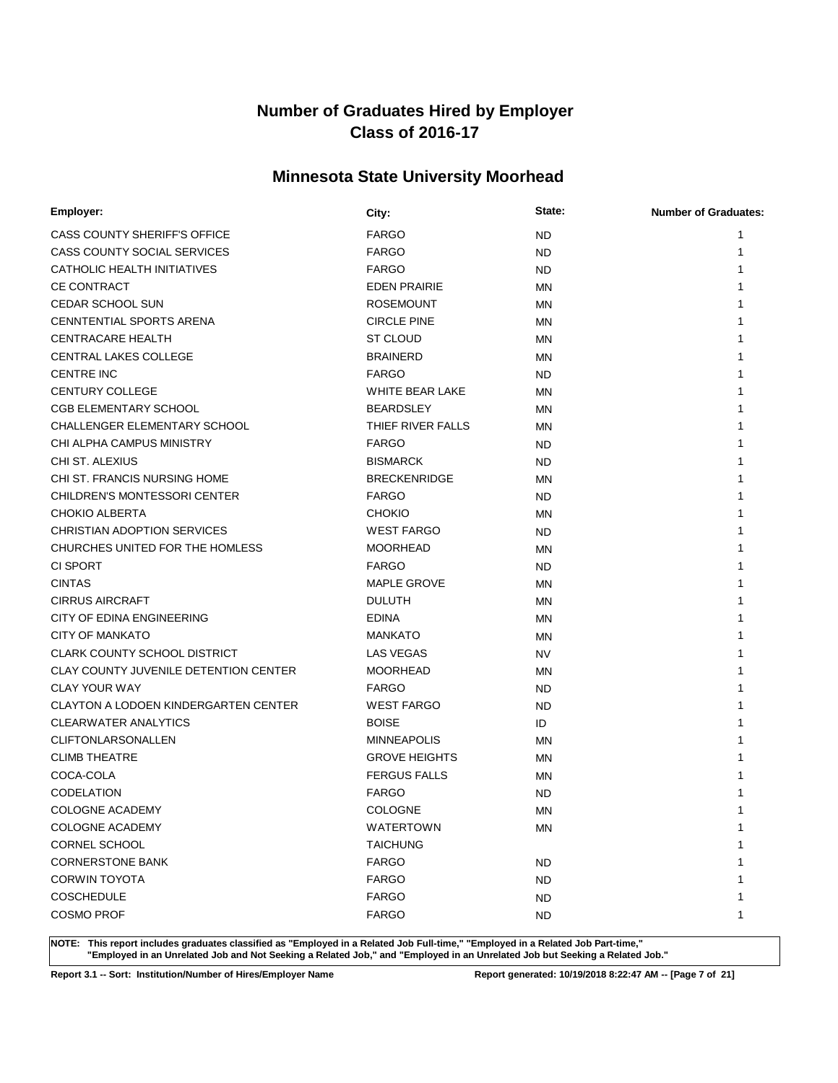# **Minnesota State University Moorhead**

| Employer:                                    | City:                | State:    | <b>Number of Graduates:</b> |
|----------------------------------------------|----------------------|-----------|-----------------------------|
| CASS COUNTY SHERIFF'S OFFICE                 | <b>FARGO</b>         | <b>ND</b> | 1                           |
| CASS COUNTY SOCIAL SERVICES                  | <b>FARGO</b>         | <b>ND</b> | 1                           |
| CATHOLIC HEALTH INITIATIVES                  | <b>FARGO</b>         | ND.       | 1                           |
| <b>CE CONTRACT</b>                           | <b>EDEN PRAIRIE</b>  | <b>MN</b> | 1                           |
| <b>CEDAR SCHOOL SUN</b>                      | <b>ROSEMOUNT</b>     | <b>MN</b> |                             |
| <b>CENNTENTIAL SPORTS ARENA</b>              | <b>CIRCLE PINE</b>   | <b>MN</b> |                             |
| <b>CENTRACARE HEALTH</b>                     | <b>ST CLOUD</b>      | <b>MN</b> |                             |
| <b>CENTRAL LAKES COLLEGE</b>                 | <b>BRAINERD</b>      | <b>MN</b> |                             |
| <b>CENTRE INC</b>                            | <b>FARGO</b>         | <b>ND</b> |                             |
| CENTURY COLLEGE                              | WHITE BEAR LAKE      | <b>MN</b> |                             |
| <b>CGB ELEMENTARY SCHOOL</b>                 | <b>BEARDSLEY</b>     | <b>MN</b> |                             |
| <b>CHALLENGER ELEMENTARY SCHOOL</b>          | THIEF RIVER FALLS    | MN        |                             |
| CHI ALPHA CAMPUS MINISTRY                    | <b>FARGO</b>         | <b>ND</b> |                             |
| CHI ST. ALEXIUS                              | <b>BISMARCK</b>      | ND.       |                             |
| CHI ST. FRANCIS NURSING HOME                 | <b>BRECKENRIDGE</b>  | MN        |                             |
| <b>CHILDREN'S MONTESSORI CENTER</b>          | <b>FARGO</b>         | ND        | 1                           |
| <b>CHOKIO ALBERTA</b>                        | <b>CHOKIO</b>        | <b>MN</b> | 1                           |
| CHRISTIAN ADOPTION SERVICES                  | <b>WEST FARGO</b>    | ND.       |                             |
| CHURCHES UNITED FOR THE HOMLESS              | <b>MOORHEAD</b>      | <b>MN</b> | 1                           |
| <b>CI SPORT</b>                              | <b>FARGO</b>         | <b>ND</b> | 1                           |
| <b>CINTAS</b>                                | <b>MAPLE GROVE</b>   | <b>MN</b> | 1                           |
| <b>CIRRUS AIRCRAFT</b>                       | <b>DULUTH</b>        | <b>MN</b> |                             |
| CITY OF EDINA ENGINEERING                    | <b>EDINA</b>         | <b>MN</b> |                             |
| <b>CITY OF MANKATO</b>                       | <b>MANKATO</b>       | <b>MN</b> |                             |
| <b>CLARK COUNTY SCHOOL DISTRICT</b>          | LAS VEGAS            | <b>NV</b> |                             |
| <b>CLAY COUNTY JUVENILE DETENTION CENTER</b> | <b>MOORHEAD</b>      | <b>MN</b> |                             |
| <b>CLAY YOUR WAY</b>                         | <b>FARGO</b>         | ND.       |                             |
| <b>CLAYTON A LODOEN KINDERGARTEN CENTER</b>  | <b>WEST FARGO</b>    | ND        | 1                           |
| <b>CLEARWATER ANALYTICS</b>                  | <b>BOISE</b>         | ID        | 1                           |
| <b>CLIFTONLARSONALLEN</b>                    | <b>MINNEAPOLIS</b>   | MN        |                             |
| <b>CLIMB THEATRE</b>                         | <b>GROVE HEIGHTS</b> | <b>MN</b> |                             |
| COCA-COLA                                    | <b>FERGUS FALLS</b>  | MN        |                             |
| <b>CODELATION</b>                            | <b>FARGO</b>         | ND        |                             |
| <b>COLOGNE ACADEMY</b>                       | <b>COLOGNE</b>       | <b>MN</b> | 1                           |
| <b>COLOGNE ACADEMY</b>                       | WATERTOWN            | <b>MN</b> | 1                           |
| CORNEL SCHOOL                                | <b>TAICHUNG</b>      |           | 1                           |
| <b>CORNERSTONE BANK</b>                      | <b>FARGO</b>         | <b>ND</b> |                             |
| <b>CORWIN TOYOTA</b>                         | <b>FARGO</b>         | <b>ND</b> |                             |
| <b>COSCHEDULE</b>                            | <b>FARGO</b>         | <b>ND</b> | 1                           |
| <b>COSMO PROF</b>                            | <b>FARGO</b>         | <b>ND</b> | 1                           |

**NOTE: This report includes graduates classified as "Employed in a Related Job Full-time," "Employed in a Related Job Part-time," "Employed in an Unrelated Job and Not Seeking a Related Job," and "Employed in an Unrelated Job but Seeking a Related Job."**

**Report 3.1 -- Sort: Institution/Number of Hires/Employer Name Report generated: 10/19/2018 8:22:47 AM -- [Page 7 of 21]**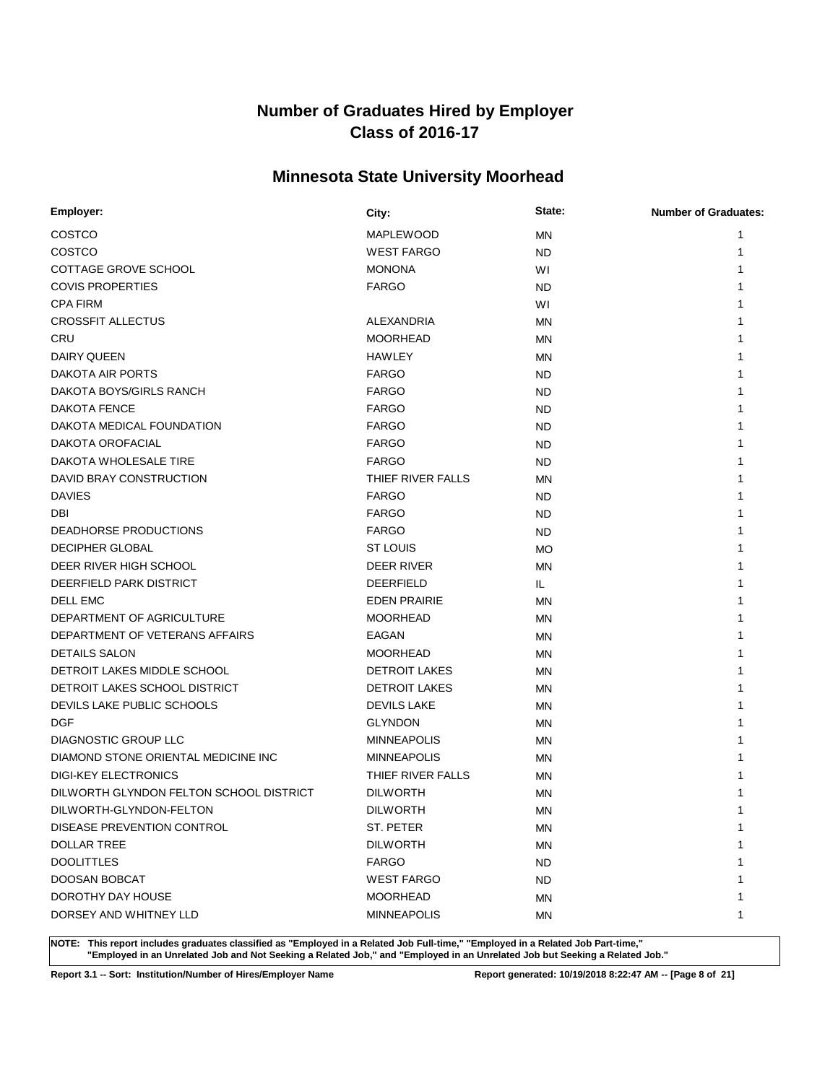# **Minnesota State University Moorhead**

| Employer:                               | City:                | State:    | <b>Number of Graduates:</b> |
|-----------------------------------------|----------------------|-----------|-----------------------------|
| COSTCO                                  | MAPLEWOOD            | <b>MN</b> | 1                           |
| COSTCO                                  | <b>WEST FARGO</b>    | <b>ND</b> | 1                           |
| COTTAGE GROVE SCHOOL                    | <b>MONONA</b>        | W١        |                             |
| <b>COVIS PROPERTIES</b>                 | <b>FARGO</b>         | <b>ND</b> |                             |
| <b>CPA FIRM</b>                         |                      | WI        |                             |
| <b>CROSSFIT ALLECTUS</b>                | ALEXANDRIA           | <b>MN</b> |                             |
| <b>CRU</b>                              | <b>MOORHEAD</b>      | <b>MN</b> |                             |
| <b>DAIRY QUEEN</b>                      | <b>HAWLEY</b>        | MN        |                             |
| DAKOTA AIR PORTS                        | <b>FARGO</b>         | <b>ND</b> |                             |
| DAKOTA BOYS/GIRLS RANCH                 | <b>FARGO</b>         | <b>ND</b> |                             |
| DAKOTA FENCE                            | <b>FARGO</b>         | <b>ND</b> |                             |
| DAKOTA MEDICAL FOUNDATION               | <b>FARGO</b>         | <b>ND</b> |                             |
| DAKOTA OROFACIAL                        | <b>FARGO</b>         | <b>ND</b> |                             |
| DAKOTA WHOLESALE TIRE                   | <b>FARGO</b>         | ND        |                             |
| DAVID BRAY CONSTRUCTION                 | THIEF RIVER FALLS    | ΜN        |                             |
| <b>DAVIES</b>                           | <b>FARGO</b>         | <b>ND</b> |                             |
| <b>DBI</b>                              | <b>FARGO</b>         | <b>ND</b> |                             |
| DEADHORSE PRODUCTIONS                   | <b>FARGO</b>         | <b>ND</b> |                             |
| <b>DECIPHER GLOBAL</b>                  | <b>ST LOUIS</b>      | <b>MO</b> |                             |
| DEER RIVER HIGH SCHOOL                  | DEER RIVER           | MN        |                             |
| DEERFIELD PARK DISTRICT                 | <b>DEERFIELD</b>     | IL.       |                             |
| <b>DELL EMC</b>                         | <b>EDEN PRAIRIE</b>  | <b>MN</b> |                             |
| DEPARTMENT OF AGRICULTURE               | <b>MOORHEAD</b>      | <b>MN</b> |                             |
| DEPARTMENT OF VETERANS AFFAIRS          | <b>EAGAN</b>         | MN        |                             |
| <b>DETAILS SALON</b>                    | <b>MOORHEAD</b>      | MN        |                             |
| DETROIT LAKES MIDDLE SCHOOL             | <b>DETROIT LAKES</b> | ΜN        |                             |
| DETROIT LAKES SCHOOL DISTRICT           | <b>DETROIT LAKES</b> | <b>MN</b> |                             |
| DEVILS LAKE PUBLIC SCHOOLS              | <b>DEVILS LAKE</b>   | MN        |                             |
| <b>DGF</b>                              | <b>GLYNDON</b>       | <b>MN</b> |                             |
| DIAGNOSTIC GROUP LLC                    | <b>MINNEAPOLIS</b>   | MN        |                             |
| DIAMOND STONE ORIENTAL MEDICINE INC     | <b>MINNEAPOLIS</b>   | <b>MN</b> |                             |
| <b>DIGI-KEY ELECTRONICS</b>             | THIEF RIVER FALLS    | <b>MN</b> |                             |
| DILWORTH GLYNDON FELTON SCHOOL DISTRICT | <b>DILWORTH</b>      | <b>MN</b> |                             |
| DILWORTH-GLYNDON-FELTON                 | <b>DILWORTH</b>      | MN        |                             |
| DISEASE PREVENTION CONTROL              | ST. PETER            | MN        | 1                           |
| <b>DOLLAR TREE</b>                      | <b>DILWORTH</b>      | <b>MN</b> | 1                           |
| <b>DOOLITTLES</b>                       | <b>FARGO</b>         | <b>ND</b> |                             |
| DOOSAN BOBCAT                           | <b>WEST FARGO</b>    | ND.       |                             |
| DOROTHY DAY HOUSE                       | <b>MOORHEAD</b>      | ΜN        |                             |
| DORSEY AND WHITNEY LLD                  | <b>MINNEAPOLIS</b>   | MN        | 1                           |

**NOTE: This report includes graduates classified as "Employed in a Related Job Full-time," "Employed in a Related Job Part-time," "Employed in an Unrelated Job and Not Seeking a Related Job," and "Employed in an Unrelated Job but Seeking a Related Job."**

**Report 3.1 -- Sort: Institution/Number of Hires/Employer Name Report generated: 10/19/2018 8:22:47 AM -- [Page 8 of 21]**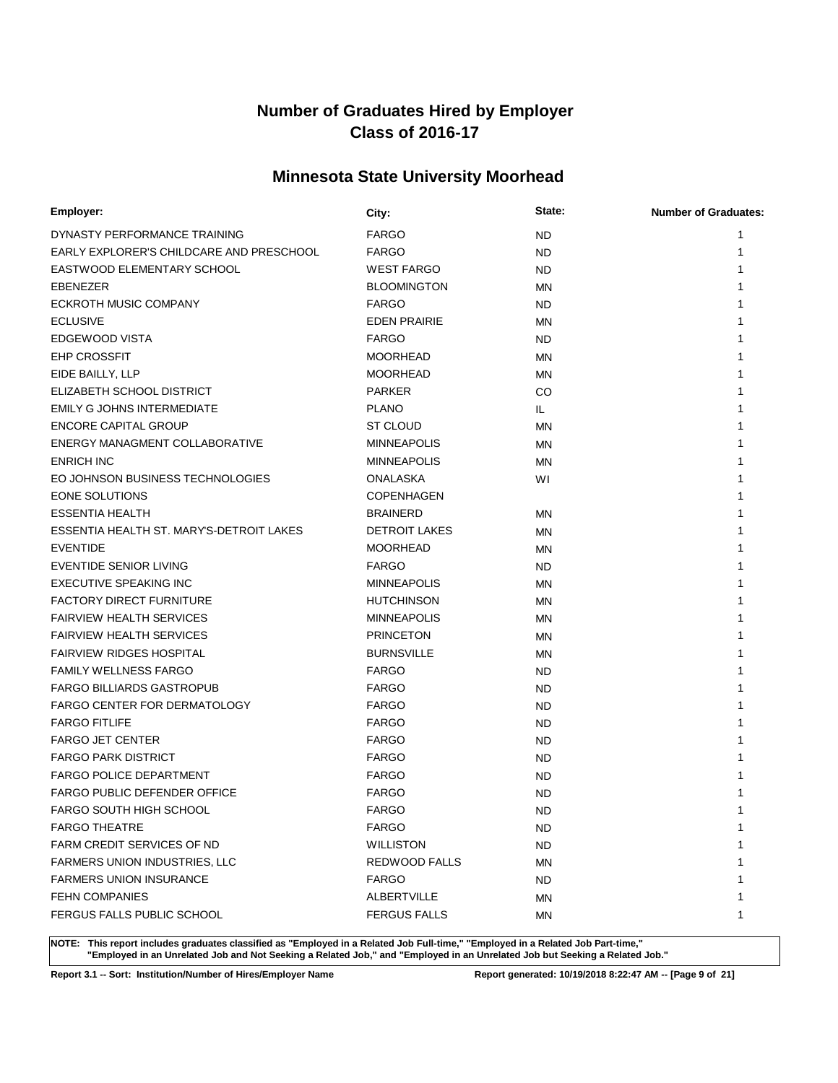# **Minnesota State University Moorhead**

| Employer:                                | City:                | State:    | <b>Number of Graduates:</b> |
|------------------------------------------|----------------------|-----------|-----------------------------|
| DYNASTY PERFORMANCE TRAINING             | <b>FARGO</b>         | <b>ND</b> | 1                           |
| EARLY EXPLORER'S CHILDCARE AND PRESCHOOL | <b>FARGO</b>         | <b>ND</b> | 1                           |
| EASTWOOD ELEMENTARY SCHOOL               | <b>WEST FARGO</b>    | <b>ND</b> |                             |
| EBENEZER                                 | <b>BLOOMINGTON</b>   | <b>MN</b> |                             |
| ECKROTH MUSIC COMPANY                    | <b>FARGO</b>         | ND.       |                             |
| <b>ECLUSIVE</b>                          | <b>EDEN PRAIRIE</b>  | MN        |                             |
| EDGEWOOD VISTA                           | <b>FARGO</b>         | ND.       |                             |
| <b>EHP CROSSFIT</b>                      | <b>MOORHEAD</b>      | ΜN        |                             |
| EIDE BAILLY, LLP                         | <b>MOORHEAD</b>      | <b>MN</b> |                             |
| ELIZABETH SCHOOL DISTRICT                | <b>PARKER</b>        | CO.       |                             |
| EMILY G JOHNS INTERMEDIATE               | <b>PLANO</b>         | IL.       |                             |
| <b>ENCORE CAPITAL GROUP</b>              | <b>ST CLOUD</b>      | <b>MN</b> |                             |
| ENERGY MANAGMENT COLLABORATIVE           | <b>MINNEAPOLIS</b>   | <b>MN</b> |                             |
| <b>ENRICH INC</b>                        | <b>MINNEAPOLIS</b>   | MN        | 1                           |
| EO JOHNSON BUSINESS TECHNOLOGIES         | <b>ONALASKA</b>      | WI        | 1                           |
| EONE SOLUTIONS                           | <b>COPENHAGEN</b>    |           |                             |
| <b>ESSENTIA HEALTH</b>                   | <b>BRAINERD</b>      | <b>MN</b> |                             |
| ESSENTIA HEALTH ST. MARY'S-DETROIT LAKES | <b>DETROIT LAKES</b> | <b>MN</b> |                             |
| <b>EVENTIDE</b>                          | <b>MOORHEAD</b>      | <b>MN</b> |                             |
| EVENTIDE SENIOR LIVING                   | <b>FARGO</b>         | ND.       |                             |
| <b>EXECUTIVE SPEAKING INC</b>            | <b>MINNEAPOLIS</b>   | <b>MN</b> | 1                           |
| <b>FACTORY DIRECT FURNITURE</b>          | <b>HUTCHINSON</b>    | <b>MN</b> | 1                           |
| <b>FAIRVIEW HEALTH SERVICES</b>          | <b>MINNEAPOLIS</b>   | <b>MN</b> |                             |
| <b>FAIRVIEW HEALTH SERVICES</b>          | <b>PRINCETON</b>     | <b>MN</b> |                             |
| <b>FAIRVIEW RIDGES HOSPITAL</b>          | <b>BURNSVILLE</b>    | MN        |                             |
| <b>FAMILY WELLNESS FARGO</b>             | <b>FARGO</b>         | <b>ND</b> |                             |
| <b>FARGO BILLIARDS GASTROPUB</b>         | <b>FARGO</b>         | <b>ND</b> |                             |
| <b>FARGO CENTER FOR DERMATOLOGY</b>      | <b>FARGO</b>         | <b>ND</b> |                             |
| <b>FARGO FITLIFE</b>                     | <b>FARGO</b>         | <b>ND</b> |                             |
| <b>FARGO JET CENTER</b>                  | <b>FARGO</b>         | <b>ND</b> | 1                           |
| <b>FARGO PARK DISTRICT</b>               | <b>FARGO</b>         | <b>ND</b> |                             |
| <b>FARGO POLICE DEPARTMENT</b>           | <b>FARGO</b>         | ND        |                             |
| <b>FARGO PUBLIC DEFENDER OFFICE</b>      | <b>FARGO</b>         | <b>ND</b> |                             |
| <b>FARGO SOUTH HIGH SCHOOL</b>           | <b>FARGO</b>         | <b>ND</b> | 1                           |
| <b>FARGO THEATRE</b>                     | <b>FARGO</b>         | ND.       | 1                           |
| FARM CREDIT SERVICES OF ND               | <b>WILLISTON</b>     | <b>ND</b> | 1                           |
| FARMERS UNION INDUSTRIES, LLC            | REDWOOD FALLS        | ΜN        | 1                           |
| <b>FARMERS UNION INSURANCE</b>           | <b>FARGO</b>         | ND.       | 1                           |
| <b>FEHN COMPANIES</b>                    | ALBERTVILLE          | ΜN        | 1                           |
| FERGUS FALLS PUBLIC SCHOOL               | <b>FERGUS FALLS</b>  | ΜN        | 1                           |

**NOTE: This report includes graduates classified as "Employed in a Related Job Full-time," "Employed in a Related Job Part-time," "Employed in an Unrelated Job and Not Seeking a Related Job," and "Employed in an Unrelated Job but Seeking a Related Job."**

**Report 3.1 -- Sort: Institution/Number of Hires/Employer Name Report generated: 10/19/2018 8:22:47 AM -- [Page 9 of 21]**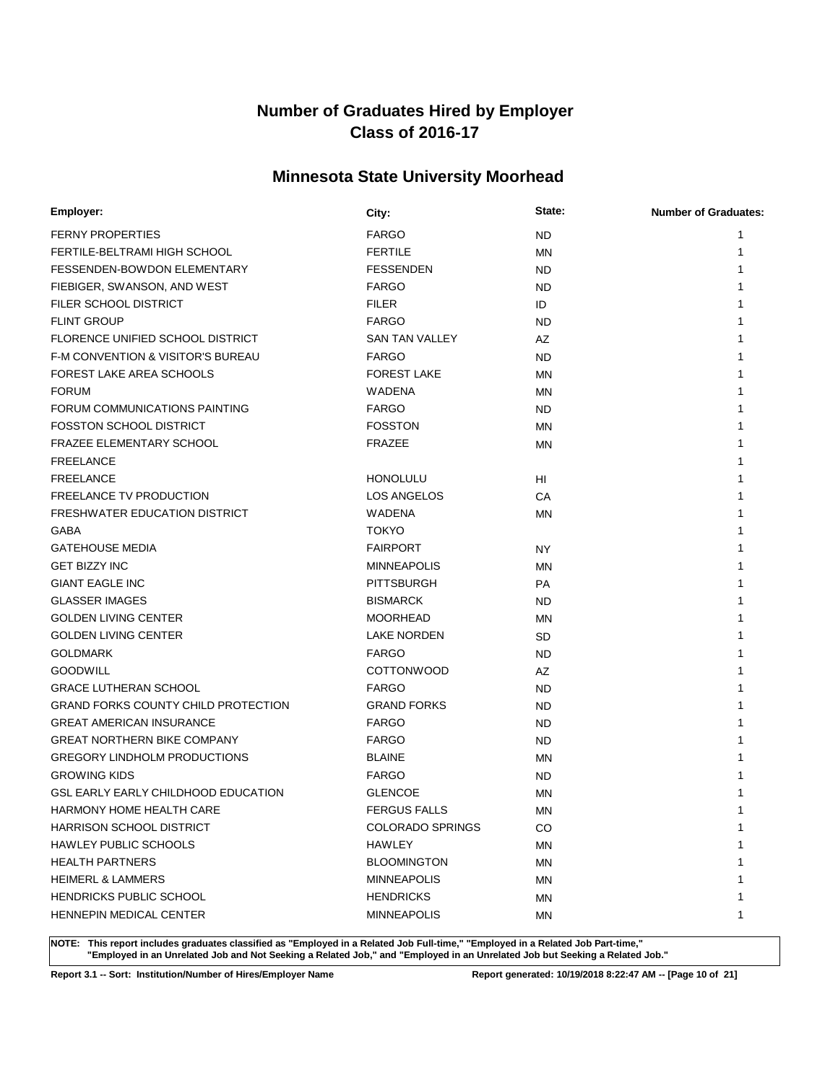# **Minnesota State University Moorhead**

| Employer:                                  | City:                   | State:    | <b>Number of Graduates:</b> |
|--------------------------------------------|-------------------------|-----------|-----------------------------|
| <b>FERNY PROPERTIES</b>                    | <b>FARGO</b>            | ND.       |                             |
| FERTILE-BELTRAMI HIGH SCHOOL               | <b>FERTILE</b>          | <b>MN</b> |                             |
| FESSENDEN-BOWDON ELEMENTARY                | <b>FESSENDEN</b>        | ND.       |                             |
| FIEBIGER, SWANSON, AND WEST                | <b>FARGO</b>            | ND.       |                             |
| FILER SCHOOL DISTRICT                      | <b>FILER</b>            | ID        |                             |
| <b>FLINT GROUP</b>                         | <b>FARGO</b>            | <b>ND</b> |                             |
| FLORENCE UNIFIED SCHOOL DISTRICT           | <b>SAN TAN VALLEY</b>   | AZ        |                             |
| F-M CONVENTION & VISITOR'S BUREAU          | <b>FARGO</b>            | ND.       |                             |
| FOREST LAKE AREA SCHOOLS                   | <b>FOREST LAKE</b>      | MN        |                             |
| <b>FORUM</b>                               | <b>WADENA</b>           | MN.       |                             |
| FORUM COMMUNICATIONS PAINTING              | <b>FARGO</b>            | ND.       |                             |
| <b>FOSSTON SCHOOL DISTRICT</b>             | <b>FOSSTON</b>          | <b>MN</b> |                             |
| <b>FRAZEE ELEMENTARY SCHOOL</b>            | <b>FRAZEE</b>           | MN        |                             |
| <b>FREELANCE</b>                           |                         |           |                             |
| <b>FREELANCE</b>                           | <b>HONOLULU</b>         | HI        |                             |
| FREELANCE TV PRODUCTION                    | LOS ANGELOS             | CA        |                             |
| FRESHWATER EDUCATION DISTRICT              | WADENA                  | <b>MN</b> |                             |
| GABA                                       | <b>TOKYO</b>            |           |                             |
| <b>GATEHOUSE MEDIA</b>                     | <b>FAIRPORT</b>         | <b>NY</b> |                             |
| <b>GET BIZZY INC</b>                       | <b>MINNEAPOLIS</b>      | <b>MN</b> |                             |
| <b>GIANT EAGLE INC</b>                     | <b>PITTSBURGH</b>       | PA        |                             |
| <b>GLASSER IMAGES</b>                      | <b>BISMARCK</b>         | ND.       |                             |
| <b>GOLDEN LIVING CENTER</b>                | <b>MOORHEAD</b>         | MN        |                             |
| <b>GOLDEN LIVING CENTER</b>                | <b>LAKE NORDEN</b>      | <b>SD</b> |                             |
| <b>GOLDMARK</b>                            | <b>FARGO</b>            | <b>ND</b> |                             |
| <b>GOODWILL</b>                            | <b>COTTONWOOD</b>       | AZ        |                             |
| <b>GRACE LUTHERAN SCHOOL</b>               | <b>FARGO</b>            | ND.       |                             |
| <b>GRAND FORKS COUNTY CHILD PROTECTION</b> | <b>GRAND FORKS</b>      | ND.       |                             |
| <b>GREAT AMERICAN INSURANCE</b>            | <b>FARGO</b>            | ND.       |                             |
| <b>GREAT NORTHERN BIKE COMPANY</b>         | <b>FARGO</b>            | ND.       |                             |
| <b>GREGORY LINDHOLM PRODUCTIONS</b>        | <b>BLAINE</b>           | <b>MN</b> |                             |
| <b>GROWING KIDS</b>                        | <b>FARGO</b>            | <b>ND</b> |                             |
| GSL EARLY EARLY CHILDHOOD EDUCATION        | <b>GLENCOE</b>          | <b>MN</b> |                             |
| HARMONY HOME HEALTH CARE                   | <b>FERGUS FALLS</b>     | ΜN        |                             |
| HARRISON SCHOOL DISTRICT                   | <b>COLORADO SPRINGS</b> | CO        | 1                           |
| <b>HAWLEY PUBLIC SCHOOLS</b>               | HAWLEY                  | MN        |                             |
| <b>HEALTH PARTNERS</b>                     | <b>BLOOMINGTON</b>      | ΜN        |                             |
| <b>HEIMERL &amp; LAMMERS</b>               | <b>MINNEAPOLIS</b>      | <b>MN</b> |                             |
| <b>HENDRICKS PUBLIC SCHOOL</b>             | <b>HENDRICKS</b>        | ΜN        |                             |
| <b>HENNEPIN MEDICAL CENTER</b>             | <b>MINNEAPOLIS</b>      | <b>MN</b> | 1                           |

**NOTE: This report includes graduates classified as "Employed in a Related Job Full-time," "Employed in a Related Job Part-time," "Employed in an Unrelated Job and Not Seeking a Related Job," and "Employed in an Unrelated Job but Seeking a Related Job."**

**Report 3.1 -- Sort: Institution/Number of Hires/Employer Name Report generated: 10/19/2018 8:22:47 AM -- [Page 10 of 21]**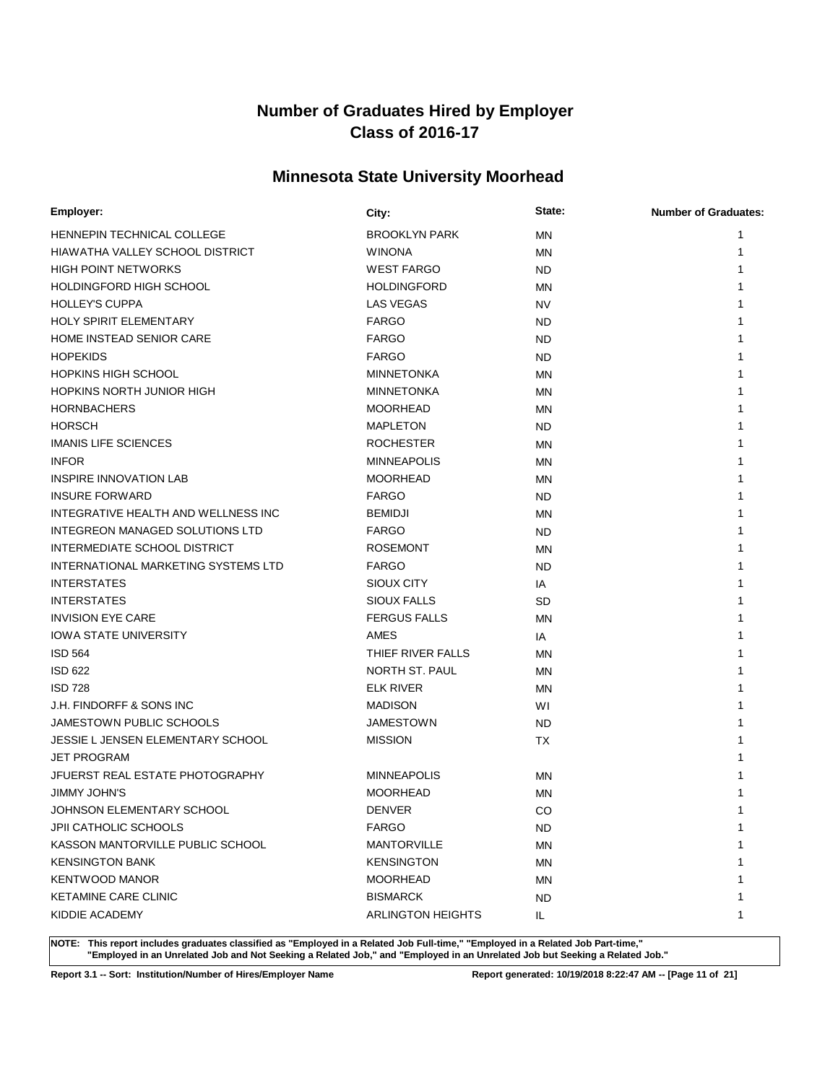# **Minnesota State University Moorhead**

| Employer:                           | City:                                 | State:    | <b>Number of Graduates:</b> |
|-------------------------------------|---------------------------------------|-----------|-----------------------------|
| <b>HENNEPIN TECHNICAL COLLEGE</b>   | <b>BROOKLYN PARK</b>                  | <b>MN</b> | 1                           |
| HIAWATHA VALLEY SCHOOL DISTRICT     | <b>WINONA</b>                         | <b>MN</b> | 1                           |
| <b>HIGH POINT NETWORKS</b>          | <b>WEST FARGO</b>                     | ND.       | 1                           |
| HOLDINGFORD HIGH SCHOOL             | <b>HOLDINGFORD</b>                    | <b>MN</b> | 1                           |
| <b>HOLLEY'S CUPPA</b>               | <b>LAS VEGAS</b>                      | <b>NV</b> |                             |
| <b>HOLY SPIRIT ELEMENTARY</b>       | <b>FARGO</b>                          | ND.       |                             |
| HOME INSTEAD SENIOR CARE            | <b>FARGO</b>                          | ND.       |                             |
| <b>HOPEKIDS</b>                     | <b>FARGO</b>                          | <b>ND</b> |                             |
| <b>HOPKINS HIGH SCHOOL</b>          | <b>MINNETONKA</b>                     | <b>MN</b> |                             |
| <b>HOPKINS NORTH JUNIOR HIGH</b>    | <b>MINNETONKA</b>                     | <b>MN</b> |                             |
| <b>HORNBACHERS</b>                  | <b>MOORHEAD</b>                       | <b>MN</b> |                             |
| <b>HORSCH</b>                       | <b>MAPLETON</b>                       | <b>ND</b> |                             |
| <b>IMANIS LIFE SCIENCES</b>         | <b>ROCHESTER</b>                      | <b>MN</b> |                             |
| <b>INFOR</b>                        | <b>MINNEAPOLIS</b>                    | MN        |                             |
| <b>INSPIRE INNOVATION LAB</b>       | <b>MOORHEAD</b>                       | <b>MN</b> | 1                           |
| <b>INSURE FORWARD</b>               | <b>FARGO</b>                          | ND        | 1                           |
| INTEGRATIVE HEALTH AND WELLNESS INC | <b>BEMIDJI</b>                        | <b>MN</b> | 1                           |
| INTEGREON MANAGED SOLUTIONS LTD     | <b>FARGO</b>                          | ND.       |                             |
| INTERMEDIATE SCHOOL DISTRICT        | <b>ROSEMONT</b>                       | <b>MN</b> | 1                           |
| INTERNATIONAL MARKETING SYSTEMS LTD | <b>FARGO</b>                          | <b>ND</b> | 1                           |
| <b>INTERSTATES</b>                  | SIOUX CITY                            | IA        | 1                           |
| <b>INTERSTATES</b>                  | <b>SIOUX FALLS</b>                    | SD        |                             |
| <b>INVISION EYE CARE</b>            | <b>FERGUS FALLS</b>                   | <b>MN</b> |                             |
| <b>IOWA STATE UNIVERSITY</b>        | AMES                                  | IA        |                             |
| <b>ISD 564</b>                      | THIEF RIVER FALLS                     | <b>MN</b> |                             |
| <b>ISD 622</b>                      | NORTH ST. PAUL                        | <b>MN</b> |                             |
| <b>ISD 728</b>                      | <b>ELK RIVER</b>                      | <b>MN</b> |                             |
| <b>J.H. FINDORFF &amp; SONS INC</b> | <b>MADISON</b>                        | WI        | 1                           |
| JAMESTOWN PUBLIC SCHOOLS            | <b>JAMESTOWN</b>                      | ND        | 1                           |
| JESSIE L JENSEN ELEMENTARY SCHOOL   | <b>MISSION</b>                        | ТX        |                             |
| <b>JET PROGRAM</b>                  |                                       |           |                             |
| JFUERST REAL ESTATE PHOTOGRAPHY     | <b>MINNEAPOLIS</b><br><b>MOORHEAD</b> | <b>MN</b> |                             |
| <b>JIMMY JOHN'S</b>                 |                                       | MN        |                             |
| JOHNSON ELEMENTARY SCHOOL           | <b>DENVER</b>                         | CO        | 1                           |
| <b>JPII CATHOLIC SCHOOLS</b>        | <b>FARGO</b>                          | ND        | 1                           |
| KASSON MANTORVILLE PUBLIC SCHOOL    | <b>MANTORVILLE</b>                    | <b>MN</b> | 1                           |
| <b>KENSINGTON BANK</b>              | <b>KENSINGTON</b>                     | <b>MN</b> |                             |
| <b>KENTWOOD MANOR</b>               | MOORHEAD                              | MN        |                             |
| KETAMINE CARE CLINIC                | <b>BISMARCK</b>                       | ND        |                             |
| KIDDIE ACADEMY                      | <b>ARLINGTON HEIGHTS</b>              | IL.       | 1                           |

**NOTE: This report includes graduates classified as "Employed in a Related Job Full-time," "Employed in a Related Job Part-time," "Employed in an Unrelated Job and Not Seeking a Related Job," and "Employed in an Unrelated Job but Seeking a Related Job."**

**Report 3.1 -- Sort: Institution/Number of Hires/Employer Name Report generated: 10/19/2018 8:22:47 AM -- [Page 11 of 21]**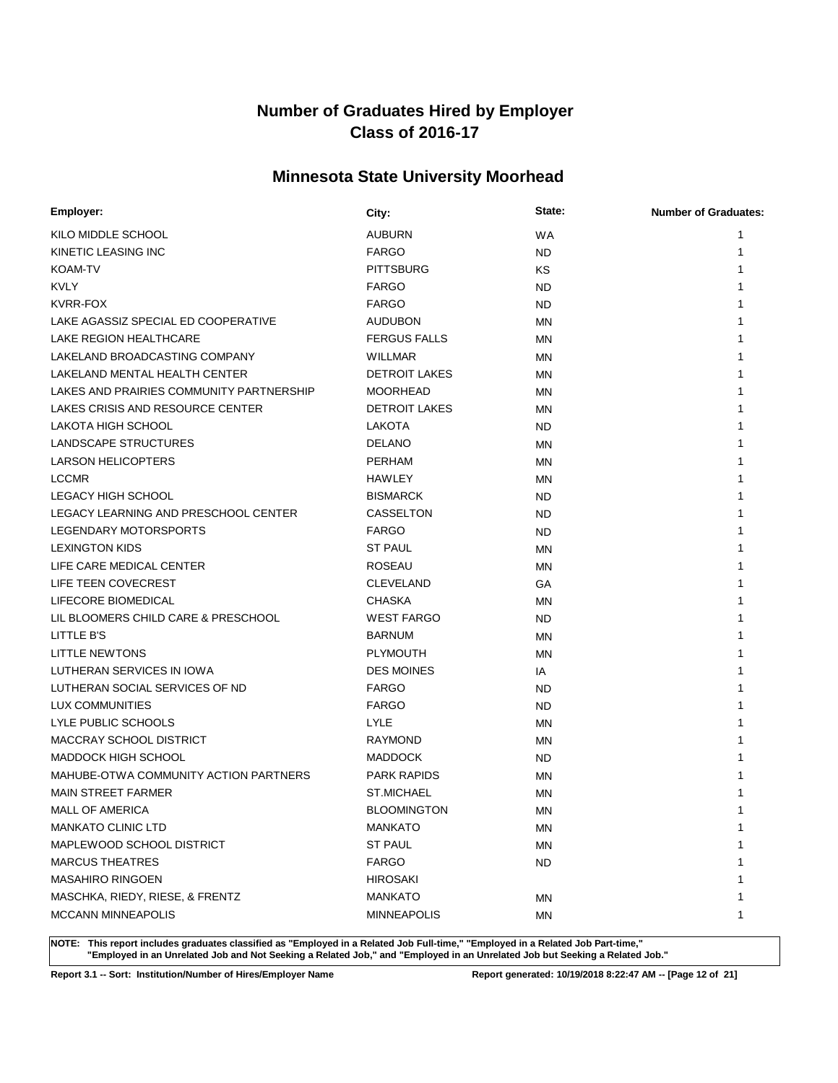# **Minnesota State University Moorhead**

| Employer:                                | City:                | State:    | <b>Number of Graduates:</b> |
|------------------------------------------|----------------------|-----------|-----------------------------|
| KILO MIDDLE SCHOOL                       | <b>AUBURN</b>        | <b>WA</b> | 1                           |
| KINETIC LEASING INC                      | <b>FARGO</b>         | <b>ND</b> | 1                           |
| <b>KOAM-TV</b>                           | <b>PITTSBURG</b>     | KS        |                             |
| <b>KVLY</b>                              | <b>FARGO</b>         | <b>ND</b> |                             |
| KVRR-FOX                                 | <b>FARGO</b>         | <b>ND</b> |                             |
| LAKE AGASSIZ SPECIAL ED COOPERATIVE      | <b>AUDUBON</b>       | <b>MN</b> |                             |
| LAKE REGION HEALTHCARE                   | <b>FERGUS FALLS</b>  | <b>MN</b> |                             |
| LAKELAND BROADCASTING COMPANY            | WILLMAR              | <b>MN</b> |                             |
| LAKELAND MENTAL HEALTH CENTER            | <b>DETROIT LAKES</b> | <b>MN</b> |                             |
| LAKES AND PRAIRIES COMMUNITY PARTNERSHIP | <b>MOORHEAD</b>      | <b>MN</b> |                             |
| LAKES CRISIS AND RESOURCE CENTER         | <b>DETROIT LAKES</b> | MN.       |                             |
| LAKOTA HIGH SCHOOL                       | LAKOTA               | ND.       |                             |
| LANDSCAPE STRUCTURES                     | <b>DELANO</b>        | MN        |                             |
| <b>LARSON HELICOPTERS</b>                | PERHAM               | <b>MN</b> |                             |
| <b>LCCMR</b>                             | <b>HAWLEY</b>        | ΜN        |                             |
| LEGACY HIGH SCHOOL                       | <b>BISMARCK</b>      | <b>ND</b> |                             |
| LEGACY LEARNING AND PRESCHOOL CENTER     | CASSELTON            | <b>ND</b> |                             |
| LEGENDARY MOTORSPORTS                    | <b>FARGO</b>         | <b>ND</b> |                             |
| <b>LEXINGTON KIDS</b>                    | <b>ST PAUL</b>       | MN        |                             |
| LIFE CARE MEDICAL CENTER                 | <b>ROSEAU</b>        | <b>MN</b> |                             |
| LIFE TEEN COVECREST                      | <b>CLEVELAND</b>     | GA        | 1                           |
| LIFECORE BIOMEDICAL                      | <b>CHASKA</b>        | <b>MN</b> | 1                           |
| LIL BLOOMERS CHILD CARE & PRESCHOOL      | <b>WEST FARGO</b>    | ND.       |                             |
| LITTLE B'S                               | <b>BARNUM</b>        | <b>MN</b> |                             |
| LITTLE NEWTONS                           | <b>PLYMOUTH</b>      | MN        |                             |
| LUTHERAN SERVICES IN IOWA                | <b>DES MOINES</b>    | IA        |                             |
| LUTHERAN SOCIAL SERVICES OF ND           | <b>FARGO</b>         | <b>ND</b> |                             |
| LUX COMMUNITIES                          | <b>FARGO</b>         | <b>ND</b> |                             |
| LYLE PUBLIC SCHOOLS                      | LYLE                 | <b>MN</b> |                             |
| MACCRAY SCHOOL DISTRICT                  | RAYMOND              | <b>MN</b> |                             |
| <b>MADDOCK HIGH SCHOOL</b>               | <b>MADDOCK</b>       | <b>ND</b> |                             |
| MAHUBE-OTWA COMMUNITY ACTION PARTNERS    | <b>PARK RAPIDS</b>   | <b>MN</b> |                             |
| <b>MAIN STREET FARMER</b>                | <b>ST.MICHAEL</b>    | <b>MN</b> |                             |
| MALL OF AMERICA                          | <b>BLOOMINGTON</b>   | ΜN        | 1                           |
| <b>MANKATO CLINIC LTD</b>                | <b>MANKATO</b>       | ΜN        | 1                           |
| MAPLEWOOD SCHOOL DISTRICT                | <b>ST PAUL</b>       | <b>MN</b> | 1                           |
| <b>MARCUS THEATRES</b>                   | <b>FARGO</b>         | <b>ND</b> | 1                           |
| <b>MASAHIRO RINGOEN</b>                  | <b>HIROSAKI</b>      |           |                             |
| MASCHKA, RIEDY, RIESE, & FRENTZ          | <b>MANKATO</b>       | ΜN        | 1                           |
| <b>MCCANN MINNEAPOLIS</b>                | <b>MINNEAPOLIS</b>   | MN        | 1                           |

**NOTE: This report includes graduates classified as "Employed in a Related Job Full-time," "Employed in a Related Job Part-time," "Employed in an Unrelated Job and Not Seeking a Related Job," and "Employed in an Unrelated Job but Seeking a Related Job."**

**Report 3.1 -- Sort: Institution/Number of Hires/Employer Name Report generated: 10/19/2018 8:22:47 AM -- [Page 12 of 21]**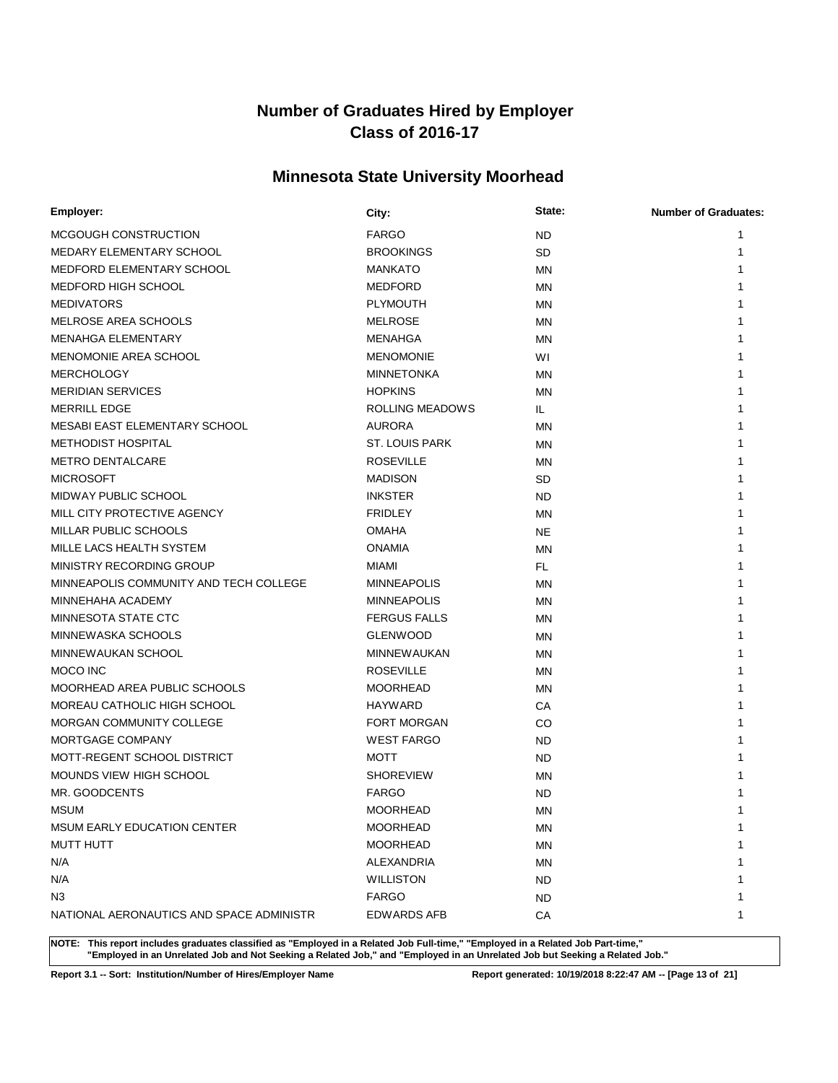# **Minnesota State University Moorhead**

| Employer:                                | City:                 | State:    | <b>Number of Graduates:</b> |
|------------------------------------------|-----------------------|-----------|-----------------------------|
| MCGOUGH CONSTRUCTION                     | <b>FARGO</b>          | <b>ND</b> | 1                           |
| MEDARY ELEMENTARY SCHOOL                 | <b>BROOKINGS</b>      | <b>SD</b> | 1                           |
| MEDFORD ELEMENTARY SCHOOL                | <b>MANKATO</b>        | <b>MN</b> |                             |
| MEDFORD HIGH SCHOOL                      | <b>MEDFORD</b>        | <b>MN</b> |                             |
| <b>MEDIVATORS</b>                        | <b>PLYMOUTH</b>       | <b>MN</b> |                             |
| MELROSE AREA SCHOOLS                     | <b>MELROSE</b>        | <b>MN</b> |                             |
| <b>MENAHGA ELEMENTARY</b>                | MENAHGA               | MN        |                             |
| MENOMONIE AREA SCHOOL                    | <b>MENOMONIE</b>      | WI        |                             |
| <b>MERCHOLOGY</b>                        | <b>MINNETONKA</b>     | MN        |                             |
| <b>MERIDIAN SERVICES</b>                 | <b>HOPKINS</b>        | <b>MN</b> |                             |
| <b>MERRILL EDGE</b>                      | ROLLING MEADOWS       | IL.       |                             |
| MESABI EAST ELEMENTARY SCHOOL            | <b>AURORA</b>         | <b>MN</b> |                             |
| <b>METHODIST HOSPITAL</b>                | <b>ST. LOUIS PARK</b> | MN        |                             |
| <b>METRO DENTALCARE</b>                  | <b>ROSEVILLE</b>      | <b>MN</b> |                             |
| <b>MICROSOFT</b>                         | <b>MADISON</b>        | SD        |                             |
| MIDWAY PUBLIC SCHOOL                     | <b>INKSTER</b>        | <b>ND</b> |                             |
| MILL CITY PROTECTIVE AGENCY              | <b>FRIDLEY</b>        | MN        |                             |
| MILLAR PUBLIC SCHOOLS                    | <b>OMAHA</b>          | <b>NE</b> |                             |
| MILLE LACS HEALTH SYSTEM                 | <b>ONAMIA</b>         | <b>MN</b> |                             |
| MINISTRY RECORDING GROUP                 | <b>MIAMI</b>          | FL        |                             |
| MINNEAPOLIS COMMUNITY AND TECH COLLEGE   | <b>MINNEAPOLIS</b>    | <b>MN</b> | 1                           |
| MINNEHAHA ACADEMY                        | <b>MINNEAPOLIS</b>    | <b>MN</b> |                             |
| MINNESOTA STATE CTC                      | <b>FERGUS FALLS</b>   | MN        |                             |
| MINNEWASKA SCHOOLS                       | <b>GLENWOOD</b>       | MN        |                             |
| MINNEWAUKAN SCHOOL                       | <b>MINNEWAUKAN</b>    | <b>MN</b> |                             |
| MOCO INC                                 | <b>ROSEVILLE</b>      | ΜN        |                             |
| MOORHEAD AREA PUBLIC SCHOOLS             | <b>MOORHEAD</b>       | <b>MN</b> |                             |
| MOREAU CATHOLIC HIGH SCHOOL              | <b>HAYWARD</b>        | CA        | 1                           |
| MORGAN COMMUNITY COLLEGE                 | <b>FORT MORGAN</b>    | CO        | 1                           |
| MORTGAGE COMPANY                         | <b>WEST FARGO</b>     | <b>ND</b> |                             |
| MOTT-REGENT SCHOOL DISTRICT              | <b>MOTT</b>           | ND        |                             |
| MOUNDS VIEW HIGH SCHOOL                  | <b>SHOREVIEW</b>      | <b>MN</b> |                             |
| MR. GOODCENTS                            | <b>FARGO</b>          | <b>ND</b> |                             |
| <b>MSUM</b>                              | <b>MOORHEAD</b>       | <b>MN</b> | 1                           |
| <b>MSUM EARLY EDUCATION CENTER</b>       | MOORHEAD              | ΜN        | 1                           |
| <b>MUTT HUTT</b>                         | <b>MOORHEAD</b>       | <b>MN</b> | 1                           |
| N/A                                      | ALEXANDRIA            | ΜN        | 1                           |
| N/A                                      | <b>WILLISTON</b>      | ND        | 1                           |
| N <sub>3</sub>                           | <b>FARGO</b>          | ND.       | 1                           |
| NATIONAL AERONAUTICS AND SPACE ADMINISTR | <b>EDWARDS AFB</b>    | CA        | 1                           |

**NOTE: This report includes graduates classified as "Employed in a Related Job Full-time," "Employed in a Related Job Part-time," "Employed in an Unrelated Job and Not Seeking a Related Job," and "Employed in an Unrelated Job but Seeking a Related Job."**

**Report 3.1 -- Sort: Institution/Number of Hires/Employer Name Report generated: 10/19/2018 8:22:47 AM -- [Page 13 of 21]**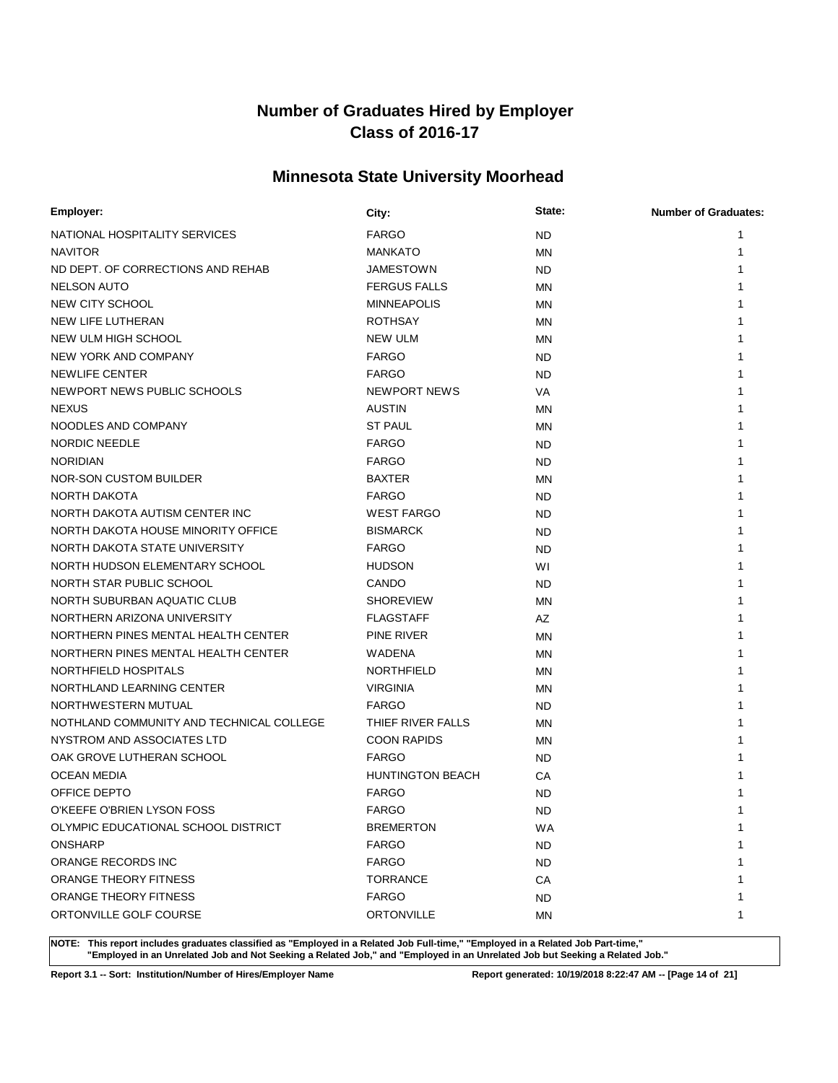# **Minnesota State University Moorhead**

| Employer:                                | City:                   | State:    | <b>Number of Graduates:</b> |
|------------------------------------------|-------------------------|-----------|-----------------------------|
| NATIONAL HOSPITALITY SERVICES            | <b>FARGO</b>            | <b>ND</b> |                             |
| <b>NAVITOR</b>                           | <b>MANKATO</b>          | <b>MN</b> |                             |
| ND DEPT. OF CORRECTIONS AND REHAB        | <b>JAMESTOWN</b>        | <b>ND</b> |                             |
| <b>NELSON AUTO</b>                       | <b>FERGUS FALLS</b>     | <b>MN</b> |                             |
| NEW CITY SCHOOL                          | <b>MINNEAPOLIS</b>      | <b>MN</b> |                             |
| <b>NEW LIFE LUTHERAN</b>                 | <b>ROTHSAY</b>          | MN        |                             |
| NEW ULM HIGH SCHOOL                      | <b>NEW ULM</b>          | MN        |                             |
| NEW YORK AND COMPANY                     | <b>FARGO</b>            | <b>ND</b> |                             |
| <b>NEWLIFE CENTER</b>                    | <b>FARGO</b>            | <b>ND</b> |                             |
| NEWPORT NEWS PUBLIC SCHOOLS              | NEWPORT NEWS            | VA        |                             |
| <b>NEXUS</b>                             | <b>AUSTIN</b>           | MN        |                             |
| NOODLES AND COMPANY                      | <b>ST PAUL</b>          | MN        |                             |
| <b>NORDIC NEEDLE</b>                     | <b>FARGO</b>            | <b>ND</b> |                             |
| <b>NORIDIAN</b>                          | <b>FARGO</b>            | <b>ND</b> |                             |
| NOR-SON CUSTOM BUILDER                   | <b>BAXTER</b>           | <b>MN</b> |                             |
| NORTH DAKOTA                             | <b>FARGO</b>            | <b>ND</b> |                             |
| NORTH DAKOTA AUTISM CENTER INC           | <b>WEST FARGO</b>       | <b>ND</b> |                             |
| NORTH DAKOTA HOUSE MINORITY OFFICE       | <b>BISMARCK</b>         | <b>ND</b> |                             |
| NORTH DAKOTA STATE UNIVERSITY            | <b>FARGO</b>            | <b>ND</b> |                             |
| NORTH HUDSON ELEMENTARY SCHOOL           | <b>HUDSON</b>           | WI        |                             |
| NORTH STAR PUBLIC SCHOOL                 | CANDO                   | <b>ND</b> |                             |
| NORTH SUBURBAN AQUATIC CLUB              | <b>SHOREVIEW</b>        | <b>MN</b> |                             |
| NORTHERN ARIZONA UNIVERSITY              | <b>FLAGSTAFF</b>        | AZ        |                             |
| NORTHERN PINES MENTAL HEALTH CENTER      | PINE RIVER              | <b>MN</b> |                             |
| NORTHERN PINES MENTAL HEALTH CENTER      | WADENA                  | <b>MN</b> |                             |
| NORTHFIELD HOSPITALS                     | <b>NORTHFIELD</b>       | MN        |                             |
| NORTHLAND LEARNING CENTER                | <b>VIRGINIA</b>         | <b>MN</b> |                             |
| NORTHWESTERN MUTUAL                      | <b>FARGO</b>            | <b>ND</b> |                             |
| NOTHLAND COMMUNITY AND TECHNICAL COLLEGE | THIEF RIVER FALLS       | <b>MN</b> |                             |
| NYSTROM AND ASSOCIATES LTD               | <b>COON RAPIDS</b>      | MN        |                             |
| OAK GROVE LUTHERAN SCHOOL                | <b>FARGO</b>            | <b>ND</b> |                             |
| <b>OCEAN MEDIA</b>                       | <b>HUNTINGTON BEACH</b> | СA        |                             |
| OFFICE DEPTO                             | <b>FARGO</b>            | <b>ND</b> |                             |
| O'KEEFE O'BRIEN LYSON FOSS               | <b>FARGO</b>            | <b>ND</b> | 1                           |
| OLYMPIC EDUCATIONAL SCHOOL DISTRICT      | <b>BREMERTON</b>        | <b>WA</b> | 1                           |
| <b>ONSHARP</b>                           | <b>FARGO</b>            | ND.       |                             |
| ORANGE RECORDS INC                       | <b>FARGO</b>            | <b>ND</b> |                             |
| ORANGE THEORY FITNESS                    | <b>TORRANCE</b>         | СA        |                             |
| ORANGE THEORY FITNESS                    | <b>FARGO</b>            | <b>ND</b> |                             |
| ORTONVILLE GOLF COURSE                   | <b>ORTONVILLE</b>       | ΜN        | 1                           |

**NOTE: This report includes graduates classified as "Employed in a Related Job Full-time," "Employed in a Related Job Part-time," "Employed in an Unrelated Job and Not Seeking a Related Job," and "Employed in an Unrelated Job but Seeking a Related Job."**

**Report 3.1 -- Sort: Institution/Number of Hires/Employer Name Report generated: 10/19/2018 8:22:47 AM -- [Page 14 of 21]**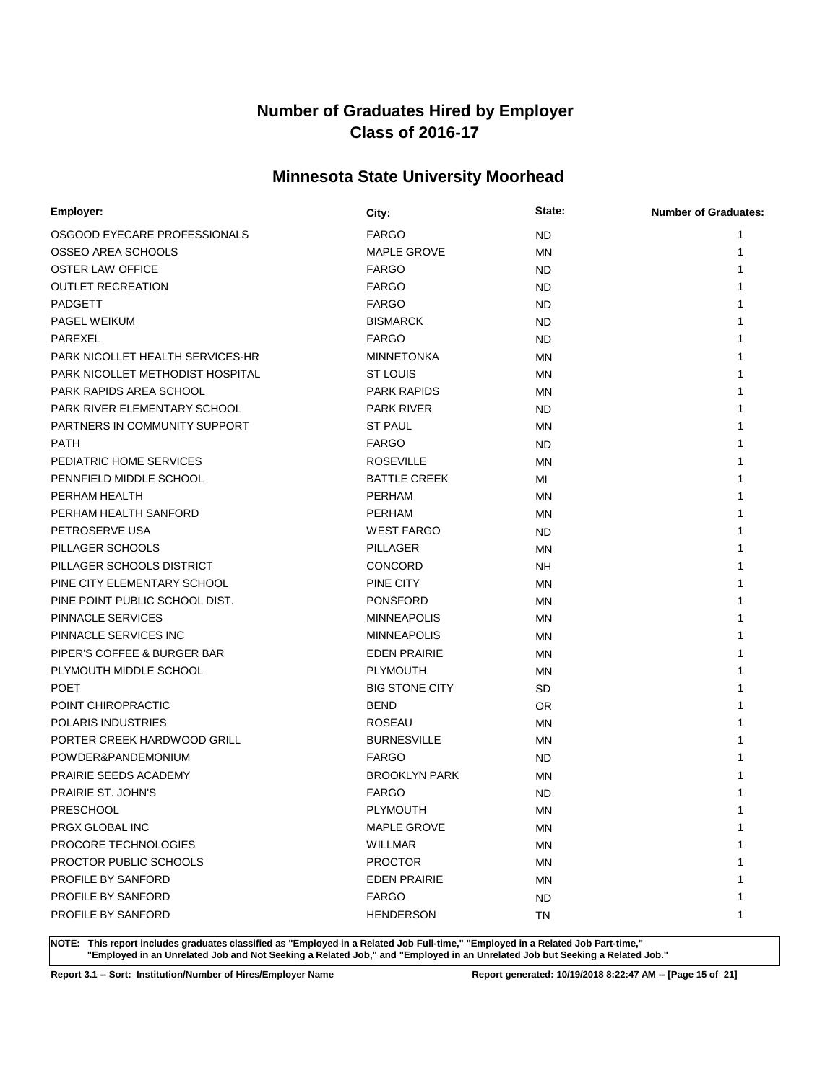# **Minnesota State University Moorhead**

| Employer:                        | City:                 | State:    | <b>Number of Graduates:</b> |
|----------------------------------|-----------------------|-----------|-----------------------------|
| OSGOOD EYECARE PROFESSIONALS     | <b>FARGO</b>          | <b>ND</b> | 1                           |
| OSSEO AREA SCHOOLS               | <b>MAPLE GROVE</b>    | MN        | 1                           |
| <b>OSTER LAW OFFICE</b>          | <b>FARGO</b>          | ND.       | 1                           |
| <b>OUTLET RECREATION</b>         | <b>FARGO</b>          | ND.       |                             |
| PADGETT                          | <b>FARGO</b>          | <b>ND</b> |                             |
| <b>PAGEL WEIKUM</b>              | <b>BISMARCK</b>       | <b>ND</b> | 1                           |
| PAREXEL                          | <b>FARGO</b>          | ND.       |                             |
| PARK NICOLLET HEALTH SERVICES-HR | <b>MINNETONKA</b>     | <b>MN</b> |                             |
| PARK NICOLLET METHODIST HOSPITAL | <b>ST LOUIS</b>       | MN        |                             |
| PARK RAPIDS AREA SCHOOL          | <b>PARK RAPIDS</b>    | MN        |                             |
| PARK RIVER ELEMENTARY SCHOOL     | <b>PARK RIVER</b>     | ND.       |                             |
| PARTNERS IN COMMUNITY SUPPORT    | <b>ST PAUL</b>        | ΜN        |                             |
| <b>PATH</b>                      | <b>FARGO</b>          | <b>ND</b> | 1                           |
| PEDIATRIC HOME SERVICES          | <b>ROSEVILLE</b>      | MN        | 1                           |
| PENNFIELD MIDDLE SCHOOL          | <b>BATTLE CREEK</b>   | MI        | 1                           |
| PERHAM HEALTH                    | PERHAM                | <b>MN</b> |                             |
| PERHAM HEALTH SANFORD            | <b>PERHAM</b>         | <b>MN</b> |                             |
| PETROSERVE USA                   | <b>WEST FARGO</b>     | <b>ND</b> | 1                           |
| PILLAGER SCHOOLS                 | <b>PILLAGER</b>       | <b>MN</b> |                             |
| PILLAGER SCHOOLS DISTRICT        | <b>CONCORD</b>        | <b>NH</b> | 1                           |
| PINE CITY ELEMENTARY SCHOOL      | PINE CITY             | MN        | 1                           |
| PINE POINT PUBLIC SCHOOL DIST.   | <b>PONSFORD</b>       | MN        | 1                           |
| PINNACLE SERVICES                | <b>MINNEAPOLIS</b>    | <b>MN</b> | 1                           |
| PINNACLE SERVICES INC            | <b>MINNEAPOLIS</b>    | <b>MN</b> |                             |
| PIPER'S COFFEE & BURGER BAR      | <b>EDEN PRAIRIE</b>   | MN        |                             |
| PLYMOUTH MIDDLE SCHOOL           | <b>PLYMOUTH</b>       | MN        |                             |
| <b>POET</b>                      | <b>BIG STONE CITY</b> | SD        |                             |
| POINT CHIROPRACTIC               | <b>BEND</b>           | OR.       |                             |
| <b>POLARIS INDUSTRIES</b>        | <b>ROSEAU</b>         | MN        |                             |
| PORTER CREEK HARDWOOD GRILL      | <b>BURNESVILLE</b>    | MN        |                             |
| POWDER&PANDEMONIUM               | <b>FARGO</b>          | <b>ND</b> |                             |
| PRAIRIE SEEDS ACADEMY            | <b>BROOKLYN PARK</b>  | <b>MN</b> |                             |
| PRAIRIE ST. JOHN'S               | <b>FARGO</b>          | <b>ND</b> |                             |
| <b>PRESCHOOL</b>                 | <b>PLYMOUTH</b>       | MN        | 1                           |
| PRGX GLOBAL INC                  | <b>MAPLE GROVE</b>    | ΜN        | 1                           |
| PROCORE TECHNOLOGIES             | <b>WILLMAR</b>        | ΜN        | 1                           |
| PROCTOR PUBLIC SCHOOLS           | <b>PROCTOR</b>        | ΜN        | 1                           |
| PROFILE BY SANFORD               | <b>EDEN PRAIRIE</b>   | ΜN        | 1                           |
| PROFILE BY SANFORD               | <b>FARGO</b>          | ND.       | 1                           |
| PROFILE BY SANFORD               | <b>HENDERSON</b>      | TN        | 1                           |

**NOTE: This report includes graduates classified as "Employed in a Related Job Full-time," "Employed in a Related Job Part-time," "Employed in an Unrelated Job and Not Seeking a Related Job," and "Employed in an Unrelated Job but Seeking a Related Job."**

**Report 3.1 -- Sort: Institution/Number of Hires/Employer Name Report generated: 10/19/2018 8:22:47 AM -- [Page 15 of 21]**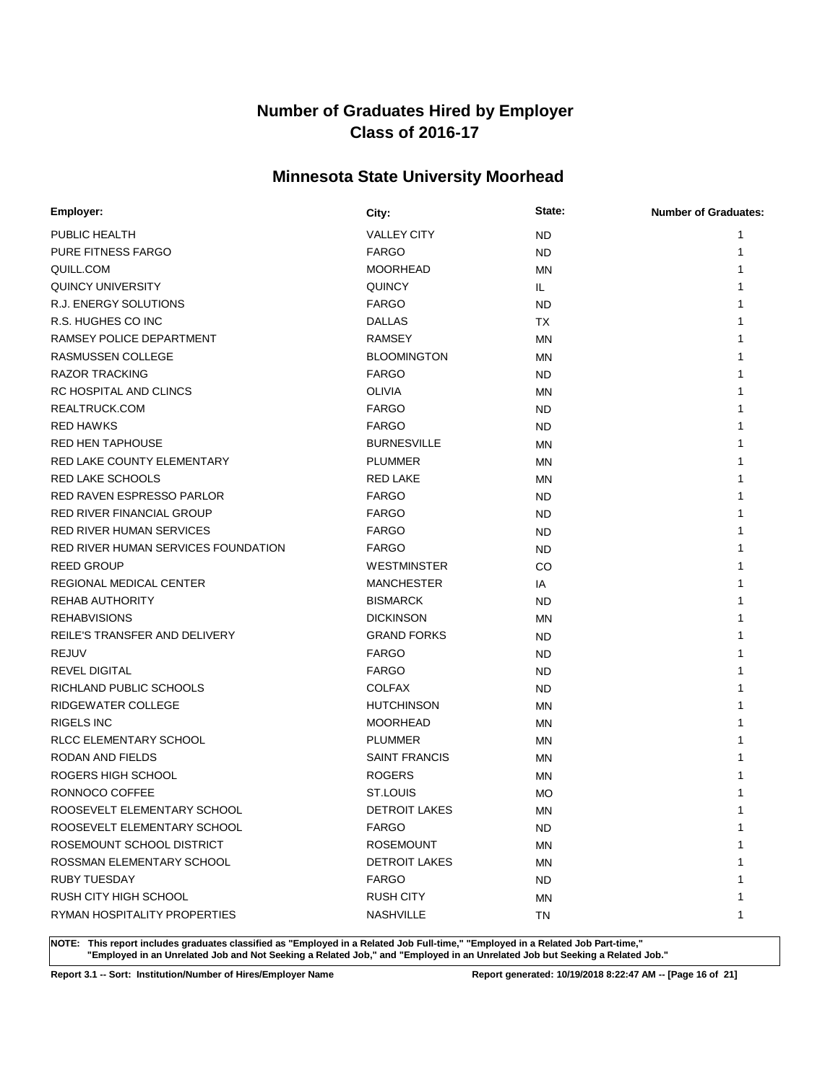# **Minnesota State University Moorhead**

| Employer:                           | City:                | State:    | <b>Number of Graduates:</b> |
|-------------------------------------|----------------------|-----------|-----------------------------|
| PUBLIC HEALTH                       | <b>VALLEY CITY</b>   | <b>ND</b> | 1                           |
| <b>PURE FITNESS FARGO</b>           | <b>FARGO</b>         | <b>ND</b> | 1                           |
| QUILL.COM                           | <b>MOORHEAD</b>      | <b>MN</b> |                             |
| QUINCY UNIVERSITY                   | <b>QUINCY</b>        | IL.       |                             |
| R.J. ENERGY SOLUTIONS               | <b>FARGO</b>         | <b>ND</b> |                             |
| R.S. HUGHES CO INC                  | <b>DALLAS</b>        | ТX        |                             |
| RAMSEY POLICE DEPARTMENT            | <b>RAMSEY</b>        | <b>MN</b> |                             |
| <b>RASMUSSEN COLLEGE</b>            | <b>BLOOMINGTON</b>   | <b>MN</b> |                             |
| <b>RAZOR TRACKING</b>               | <b>FARGO</b>         | <b>ND</b> |                             |
| RC HOSPITAL AND CLINCS              | <b>OLIVIA</b>        | <b>MN</b> |                             |
| REALTRUCK.COM                       | <b>FARGO</b>         | <b>ND</b> |                             |
| <b>RED HAWKS</b>                    | <b>FARGO</b>         | <b>ND</b> |                             |
| <b>RED HEN TAPHOUSE</b>             | <b>BURNESVILLE</b>   | <b>MN</b> |                             |
| RED LAKE COUNTY ELEMENTARY          | <b>PLUMMER</b>       | <b>MN</b> |                             |
| <b>RED LAKE SCHOOLS</b>             | RED LAKE             | <b>MN</b> |                             |
| <b>RED RAVEN ESPRESSO PARLOR</b>    | <b>FARGO</b>         | <b>ND</b> |                             |
| RED RIVER FINANCIAL GROUP           | <b>FARGO</b>         | <b>ND</b> |                             |
| <b>RED RIVER HUMAN SERVICES</b>     | <b>FARGO</b>         | <b>ND</b> |                             |
| RED RIVER HUMAN SERVICES FOUNDATION | <b>FARGO</b>         | <b>ND</b> |                             |
| <b>REED GROUP</b>                   | <b>WESTMINSTER</b>   | CO        |                             |
| <b>REGIONAL MEDICAL CENTER</b>      | <b>MANCHESTER</b>    | IA        |                             |
| <b>REHAB AUTHORITY</b>              | <b>BISMARCK</b>      | <b>ND</b> |                             |
| <b>REHABVISIONS</b>                 | <b>DICKINSON</b>     | MN        |                             |
| REILE'S TRANSFER AND DELIVERY       | <b>GRAND FORKS</b>   | <b>ND</b> |                             |
| <b>REJUV</b>                        | <b>FARGO</b>         | <b>ND</b> |                             |
| <b>REVEL DIGITAL</b>                | <b>FARGO</b>         | <b>ND</b> |                             |
| RICHLAND PUBLIC SCHOOLS             | <b>COLFAX</b>        | <b>ND</b> |                             |
| RIDGEWATER COLLEGE                  | <b>HUTCHINSON</b>    | MN        |                             |
| <b>RIGELS INC</b>                   | <b>MOORHEAD</b>      | ΜN        |                             |
| RLCC ELEMENTARY SCHOOL              | <b>PLUMMER</b>       | MN        |                             |
| RODAN AND FIELDS                    | <b>SAINT FRANCIS</b> | <b>MN</b> |                             |
| ROGERS HIGH SCHOOL                  | <b>ROGERS</b>        | ΜN        |                             |
| RONNOCO COFFEE                      | ST.LOUIS             | <b>MO</b> |                             |
| ROOSEVELT ELEMENTARY SCHOOL         | <b>DETROIT LAKES</b> | ΜN        |                             |
| ROOSEVELT ELEMENTARY SCHOOL         | <b>FARGO</b>         | <b>ND</b> | 1                           |
| ROSEMOUNT SCHOOL DISTRICT           | <b>ROSEMOUNT</b>     | ΜN        |                             |
| ROSSMAN ELEMENTARY SCHOOL           | <b>DETROIT LAKES</b> | <b>MN</b> |                             |
| <b>RUBY TUESDAY</b>                 | <b>FARGO</b>         | <b>ND</b> |                             |
| RUSH CITY HIGH SCHOOL               | <b>RUSH CITY</b>     | ΜN        |                             |
| RYMAN HOSPITALITY PROPERTIES        | <b>NASHVILLE</b>     | <b>TN</b> | 1                           |

**NOTE: This report includes graduates classified as "Employed in a Related Job Full-time," "Employed in a Related Job Part-time," "Employed in an Unrelated Job and Not Seeking a Related Job," and "Employed in an Unrelated Job but Seeking a Related Job."**

**Report 3.1 -- Sort: Institution/Number of Hires/Employer Name Report generated: 10/19/2018 8:22:47 AM -- [Page 16 of 21]**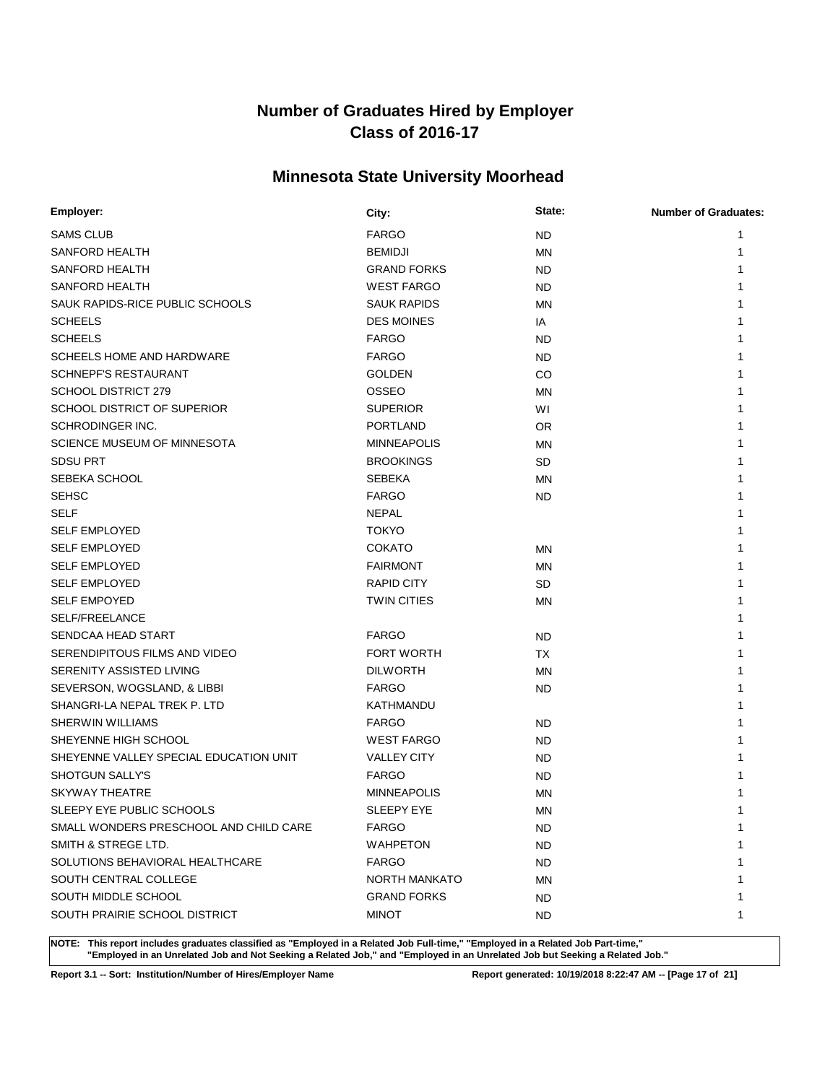# **Minnesota State University Moorhead**

| Employer:                              | City:                | State:    | <b>Number of Graduates:</b> |
|----------------------------------------|----------------------|-----------|-----------------------------|
| <b>SAMS CLUB</b>                       | <b>FARGO</b>         | <b>ND</b> | 1                           |
| SANFORD HEALTH                         | <b>BEMIDJI</b>       | <b>MN</b> | 1                           |
| SANFORD HEALTH                         | <b>GRAND FORKS</b>   | <b>ND</b> |                             |
| SANFORD HEALTH                         | <b>WEST FARGO</b>    | <b>ND</b> |                             |
| SAUK RAPIDS-RICE PUBLIC SCHOOLS        | <b>SAUK RAPIDS</b>   | <b>MN</b> |                             |
| <b>SCHEELS</b>                         | <b>DES MOINES</b>    | IA        |                             |
| <b>SCHEELS</b>                         | <b>FARGO</b>         | <b>ND</b> |                             |
| SCHEELS HOME AND HARDWARE              | <b>FARGO</b>         | ND.       |                             |
| <b>SCHNEPF'S RESTAURANT</b>            | <b>GOLDEN</b>        | <b>CO</b> |                             |
| <b>SCHOOL DISTRICT 279</b>             | <b>OSSEO</b>         | <b>MN</b> |                             |
| SCHOOL DISTRICT OF SUPERIOR            | <b>SUPERIOR</b>      | WI        |                             |
| SCHRODINGER INC.                       | <b>PORTLAND</b>      | OR.       |                             |
| SCIENCE MUSEUM OF MINNESOTA            | <b>MINNEAPOLIS</b>   | MN        |                             |
| <b>SDSU PRT</b>                        | <b>BROOKINGS</b>     | SD        |                             |
| SEBEKA SCHOOL                          | <b>SEBEKA</b>        | ΜN        |                             |
| <b>SEHSC</b>                           | <b>FARGO</b>         | <b>ND</b> | 1                           |
| <b>SELF</b>                            | <b>NEPAL</b>         |           |                             |
| <b>SELF EMPLOYED</b>                   | <b>TOKYO</b>         |           | 1                           |
| <b>SELF EMPLOYED</b>                   | <b>COKATO</b>        | ΜN        |                             |
| <b>SELF EMPLOYED</b>                   | <b>FAIRMONT</b>      | <b>MN</b> | 1                           |
| <b>SELF EMPLOYED</b>                   | <b>RAPID CITY</b>    | <b>SD</b> | 1                           |
| <b>SELF EMPOYED</b>                    | <b>TWIN CITIES</b>   | <b>MN</b> | 1                           |
| SELF/FREELANCE                         |                      |           | 1                           |
| SENDCAA HEAD START                     | <b>FARGO</b>         | <b>ND</b> | 1                           |
| SERENDIPITOUS FILMS AND VIDEO          | <b>FORT WORTH</b>    | TX        |                             |
| SERENITY ASSISTED LIVING               | <b>DILWORTH</b>      | <b>MN</b> |                             |
| SEVERSON, WOGSLAND, & LIBBI            | <b>FARGO</b>         | <b>ND</b> |                             |
| SHANGRI-LA NEPAL TREK P. LTD           | KATHMANDU            |           |                             |
| <b>SHERWIN WILLIAMS</b>                | <b>FARGO</b>         | <b>ND</b> | 1                           |
| SHEYENNE HIGH SCHOOL                   | <b>WEST FARGO</b>    | <b>ND</b> |                             |
| SHEYENNE VALLEY SPECIAL EDUCATION UNIT | <b>VALLEY CITY</b>   | <b>ND</b> |                             |
| <b>SHOTGUN SALLY'S</b>                 | <b>FARGO</b>         | <b>ND</b> |                             |
| <b>SKYWAY THEATRE</b>                  | <b>MINNEAPOLIS</b>   | MN        |                             |
| SLEEPY EYE PUBLIC SCHOOLS              | SLEEPY EYE           | ΜN        | 1                           |
| SMALL WONDERS PRESCHOOL AND CHILD CARE | <b>FARGO</b>         | ND.       | 1                           |
| SMITH & STREGE LTD.                    | <b>WAHPETON</b>      | <b>ND</b> | 1                           |
| SOLUTIONS BEHAVIORAL HEALTHCARE        | <b>FARGO</b>         | ND.       | 1                           |
| SOUTH CENTRAL COLLEGE                  | <b>NORTH MANKATO</b> | ΜN        | 1                           |
| SOUTH MIDDLE SCHOOL                    | <b>GRAND FORKS</b>   | ND.       | 1                           |
| SOUTH PRAIRIE SCHOOL DISTRICT          | <b>MINOT</b>         | ND.       | 1                           |

**NOTE: This report includes graduates classified as "Employed in a Related Job Full-time," "Employed in a Related Job Part-time," "Employed in an Unrelated Job and Not Seeking a Related Job," and "Employed in an Unrelated Job but Seeking a Related Job."**

**Report 3.1 -- Sort: Institution/Number of Hires/Employer Name Report generated: 10/19/2018 8:22:47 AM -- [Page 17 of 21]**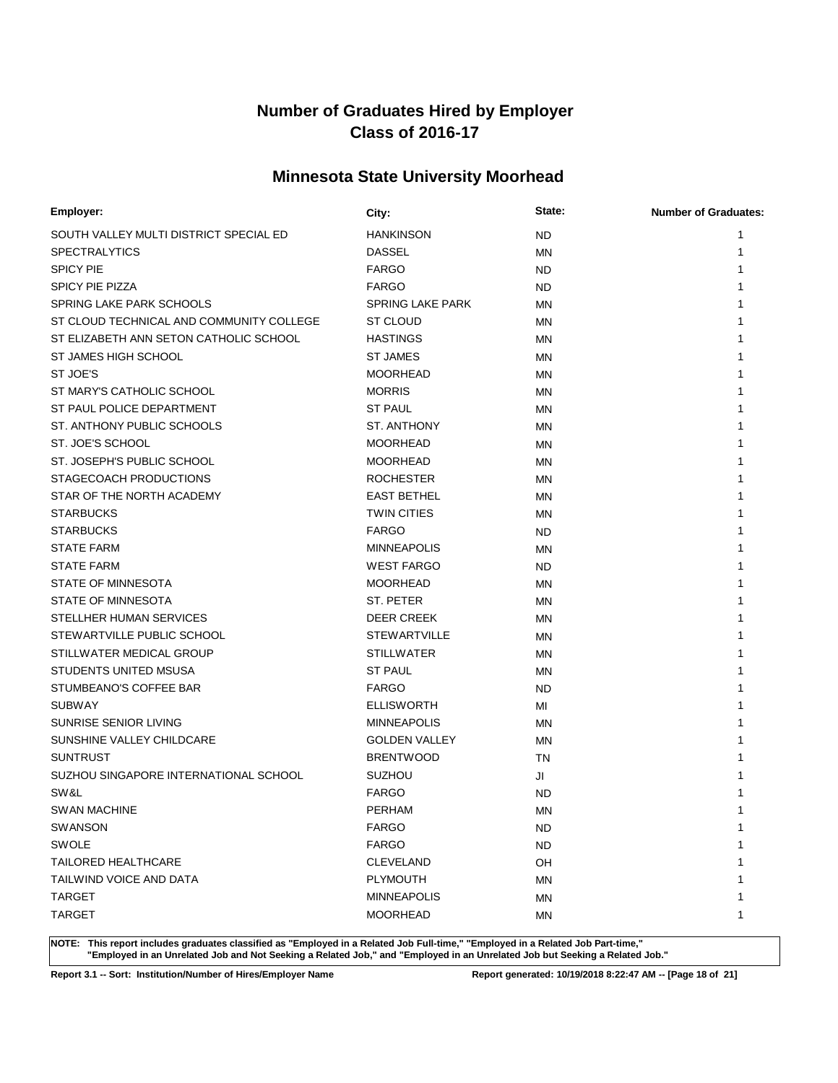# **Minnesota State University Moorhead**

| Employer:                                | City:                   | State:    | <b>Number of Graduates:</b> |
|------------------------------------------|-------------------------|-----------|-----------------------------|
| SOUTH VALLEY MULTI DISTRICT SPECIAL ED   | <b>HANKINSON</b>        | <b>ND</b> | 1                           |
| <b>SPECTRALYTICS</b>                     | <b>DASSEL</b>           | <b>MN</b> | 1                           |
| <b>SPICY PIE</b>                         | <b>FARGO</b>            | <b>ND</b> |                             |
| <b>SPICY PIE PIZZA</b>                   | <b>FARGO</b>            | <b>ND</b> |                             |
| SPRING LAKE PARK SCHOOLS                 | <b>SPRING LAKE PARK</b> | <b>MN</b> |                             |
| ST CLOUD TECHNICAL AND COMMUNITY COLLEGE | <b>ST CLOUD</b>         | <b>MN</b> |                             |
| ST ELIZABETH ANN SETON CATHOLIC SCHOOL   | <b>HASTINGS</b>         | <b>MN</b> |                             |
| ST JAMES HIGH SCHOOL                     | <b>ST JAMES</b>         | <b>MN</b> |                             |
| ST JOE'S                                 | <b>MOORHEAD</b>         | <b>MN</b> |                             |
| ST MARY'S CATHOLIC SCHOOL                | <b>MORRIS</b>           | <b>MN</b> |                             |
| ST PAUL POLICE DEPARTMENT                | <b>ST PAUL</b>          | <b>MN</b> |                             |
| ST. ANTHONY PUBLIC SCHOOLS               | ST. ANTHONY             | <b>MN</b> |                             |
| ST. JOE'S SCHOOL                         | <b>MOORHEAD</b>         | MN        |                             |
| ST. JOSEPH'S PUBLIC SCHOOL               | <b>MOORHEAD</b>         | <b>MN</b> |                             |
| STAGECOACH PRODUCTIONS                   | <b>ROCHESTER</b>        | MN        |                             |
| STAR OF THE NORTH ACADEMY                | <b>EAST BETHEL</b>      | <b>MN</b> |                             |
| <b>STARBUCKS</b>                         | <b>TWIN CITIES</b>      | MN        |                             |
| <b>STARBUCKS</b>                         | <b>FARGO</b>            | <b>ND</b> | 1                           |
| <b>STATE FARM</b>                        | <b>MINNEAPOLIS</b>      | MN        |                             |
| <b>STATE FARM</b>                        | <b>WEST FARGO</b>       | ND.       | 1                           |
| STATE OF MINNESOTA                       | <b>MOORHEAD</b>         | <b>MN</b> | 1                           |
| STATE OF MINNESOTA                       | ST. PETER               | <b>MN</b> | 1                           |
| STELLHER HUMAN SERVICES                  | <b>DEER CREEK</b>       | <b>MN</b> |                             |
| STEWARTVILLE PUBLIC SCHOOL               | <b>STEWARTVILLE</b>     | <b>MN</b> | 1                           |
| STILLWATER MEDICAL GROUP                 | <b>STILLWATER</b>       | <b>MN</b> |                             |
| STUDENTS UNITED MSUSA                    | <b>ST PAUL</b>          | <b>MN</b> |                             |
| STUMBEANO'S COFFEE BAR                   | <b>FARGO</b>            | <b>ND</b> |                             |
| <b>SUBWAY</b>                            | <b>ELLISWORTH</b>       | MI        |                             |
| SUNRISE SENIOR LIVING                    | <b>MINNEAPOLIS</b>      | <b>MN</b> | 1                           |
| SUNSHINE VALLEY CHILDCARE                | <b>GOLDEN VALLEY</b>    | <b>MN</b> |                             |
| <b>SUNTRUST</b>                          | <b>BRENTWOOD</b>        | TN        |                             |
| SUZHOU SINGAPORE INTERNATIONAL SCHOOL    | <b>SUZHOU</b>           | JI        |                             |
| SW&L                                     | <b>FARGO</b>            | <b>ND</b> |                             |
| SWAN MACHINE                             | PERHAM                  | <b>MN</b> | 1                           |
| SWANSON                                  | <b>FARGO</b>            | ND.       | 1                           |
| <b>SWOLE</b>                             | <b>FARGO</b>            | <b>ND</b> | 1                           |
| <b>TAILORED HEALTHCARE</b>               | <b>CLEVELAND</b>        | OH        | 1                           |
| TAILWIND VOICE AND DATA                  | PLYMOUTH                | ΜN        |                             |
| <b>TARGET</b>                            | <b>MINNEAPOLIS</b>      | ΜN        | 1                           |
| <b>TARGET</b>                            | <b>MOORHEAD</b>         | MN        | 1                           |

**NOTE: This report includes graduates classified as "Employed in a Related Job Full-time," "Employed in a Related Job Part-time," "Employed in an Unrelated Job and Not Seeking a Related Job," and "Employed in an Unrelated Job but Seeking a Related Job."**

**Report 3.1 -- Sort: Institution/Number of Hires/Employer Name Report generated: 10/19/2018 8:22:47 AM -- [Page 18 of 21]**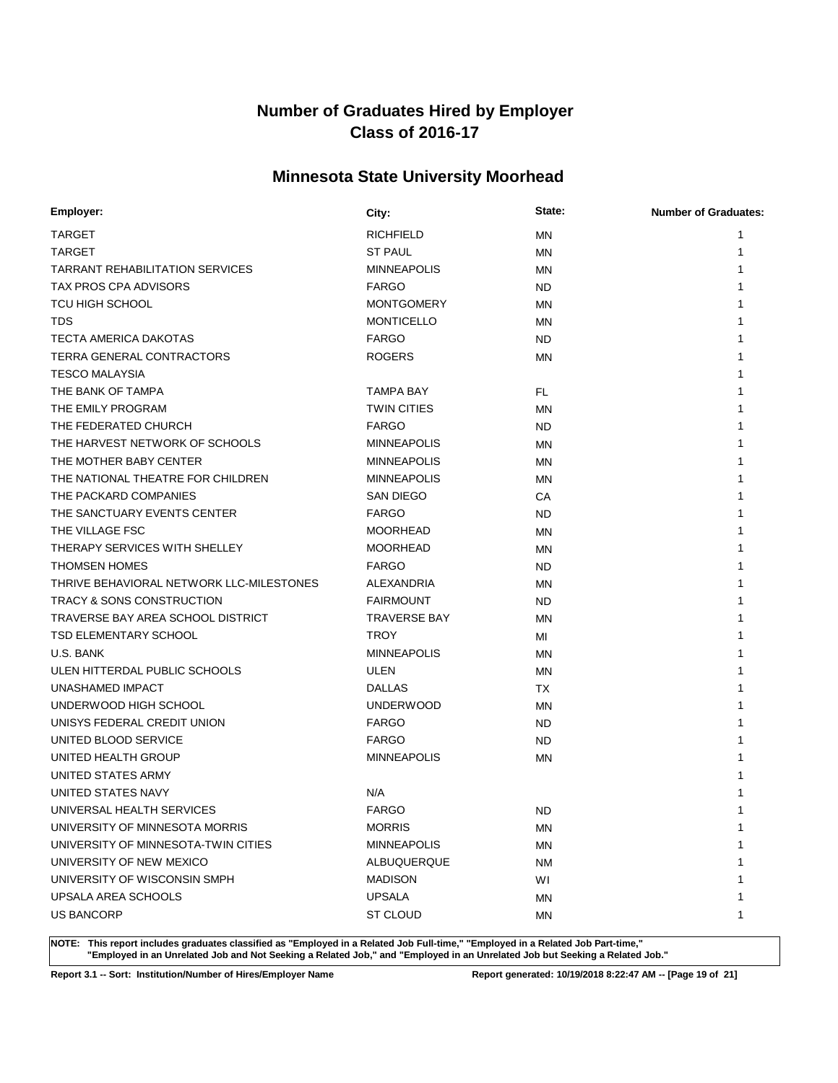# **Minnesota State University Moorhead**

| Employer:                                | City:               | State:    | <b>Number of Graduates:</b> |
|------------------------------------------|---------------------|-----------|-----------------------------|
| <b>TARGET</b>                            | <b>RICHFIELD</b>    | ΜN        |                             |
| <b>TARGET</b>                            | <b>ST PAUL</b>      | <b>MN</b> |                             |
| <b>TARRANT REHABILITATION SERVICES</b>   | <b>MINNEAPOLIS</b>  | <b>MN</b> |                             |
| TAX PROS CPA ADVISORS                    | <b>FARGO</b>        | <b>ND</b> |                             |
| <b>TCU HIGH SCHOOL</b>                   | <b>MONTGOMERY</b>   | <b>MN</b> |                             |
| <b>TDS</b>                               | <b>MONTICELLO</b>   | <b>MN</b> |                             |
| <b>TECTA AMERICA DAKOTAS</b>             | <b>FARGO</b>        | <b>ND</b> |                             |
| TERRA GENERAL CONTRACTORS                | <b>ROGERS</b>       | <b>MN</b> |                             |
| <b>TESCO MALAYSIA</b>                    |                     |           |                             |
| THE BANK OF TAMPA                        | TAMPA BAY           | FL.       |                             |
| THE EMILY PROGRAM                        | <b>TWIN CITIES</b>  | <b>MN</b> |                             |
| THE FEDERATED CHURCH                     | <b>FARGO</b>        | <b>ND</b> |                             |
| THE HARVEST NETWORK OF SCHOOLS           | <b>MINNEAPOLIS</b>  | MN        |                             |
| THE MOTHER BABY CENTER                   | <b>MINNEAPOLIS</b>  | <b>MN</b> |                             |
| THE NATIONAL THEATRE FOR CHILDREN        | <b>MINNEAPOLIS</b>  | MN        |                             |
| THE PACKARD COMPANIES                    | <b>SAN DIEGO</b>    | СA        |                             |
| THE SANCTUARY EVENTS CENTER              | <b>FARGO</b>        | <b>ND</b> |                             |
| THE VILLAGE FSC                          | <b>MOORHEAD</b>     | MN        |                             |
| THERAPY SERVICES WITH SHELLEY            | <b>MOORHEAD</b>     | MN        |                             |
| <b>THOMSEN HOMES</b>                     | <b>FARGO</b>        | <b>ND</b> |                             |
| THRIVE BEHAVIORAL NETWORK LLC-MILESTONES | ALEXANDRIA          | MN        |                             |
| <b>TRACY &amp; SONS CONSTRUCTION</b>     | <b>FAIRMOUNT</b>    | <b>ND</b> |                             |
| TRAVERSE BAY AREA SCHOOL DISTRICT        | <b>TRAVERSE BAY</b> | <b>MN</b> |                             |
| TSD ELEMENTARY SCHOOL                    | TROY.               | MI        |                             |
| U.S. BANK                                | <b>MINNEAPOLIS</b>  | ΜN        |                             |
| ULEN HITTERDAL PUBLIC SCHOOLS            | ULEN                | MN        |                             |
| UNASHAMED IMPACT                         | <b>DALLAS</b>       | ТX        |                             |
| UNDERWOOD HIGH SCHOOL                    | <b>UNDERWOOD</b>    | <b>MN</b> |                             |
| UNISYS FEDERAL CREDIT UNION              | <b>FARGO</b>        | <b>ND</b> |                             |
| UNITED BLOOD SERVICE                     | <b>FARGO</b>        | <b>ND</b> |                             |
| UNITED HEALTH GROUP                      | <b>MINNEAPOLIS</b>  | <b>MN</b> |                             |
| UNITED STATES ARMY                       |                     |           |                             |
| UNITED STATES NAVY                       | N/A                 |           |                             |
| UNIVERSAL HEALTH SERVICES                | <b>FARGO</b>        | <b>ND</b> | 1                           |
| UNIVERSITY OF MINNESOTA MORRIS           | <b>MORRIS</b>       | MN        | 1                           |
| UNIVERSITY OF MINNESOTA-TWIN CITIES      | <b>MINNEAPOLIS</b>  | <b>MN</b> |                             |
| UNIVERSITY OF NEW MEXICO                 | ALBUQUERQUE         | <b>NM</b> |                             |
| UNIVERSITY OF WISCONSIN SMPH             | <b>MADISON</b>      | WI        |                             |
| UPSALA AREA SCHOOLS                      | <b>UPSALA</b>       | MN        |                             |
| <b>US BANCORP</b>                        | ST CLOUD            | MN        | 1                           |

**NOTE: This report includes graduates classified as "Employed in a Related Job Full-time," "Employed in a Related Job Part-time," "Employed in an Unrelated Job and Not Seeking a Related Job," and "Employed in an Unrelated Job but Seeking a Related Job."**

**Report 3.1 -- Sort: Institution/Number of Hires/Employer Name Report generated: 10/19/2018 8:22:47 AM -- [Page 19 of 21]**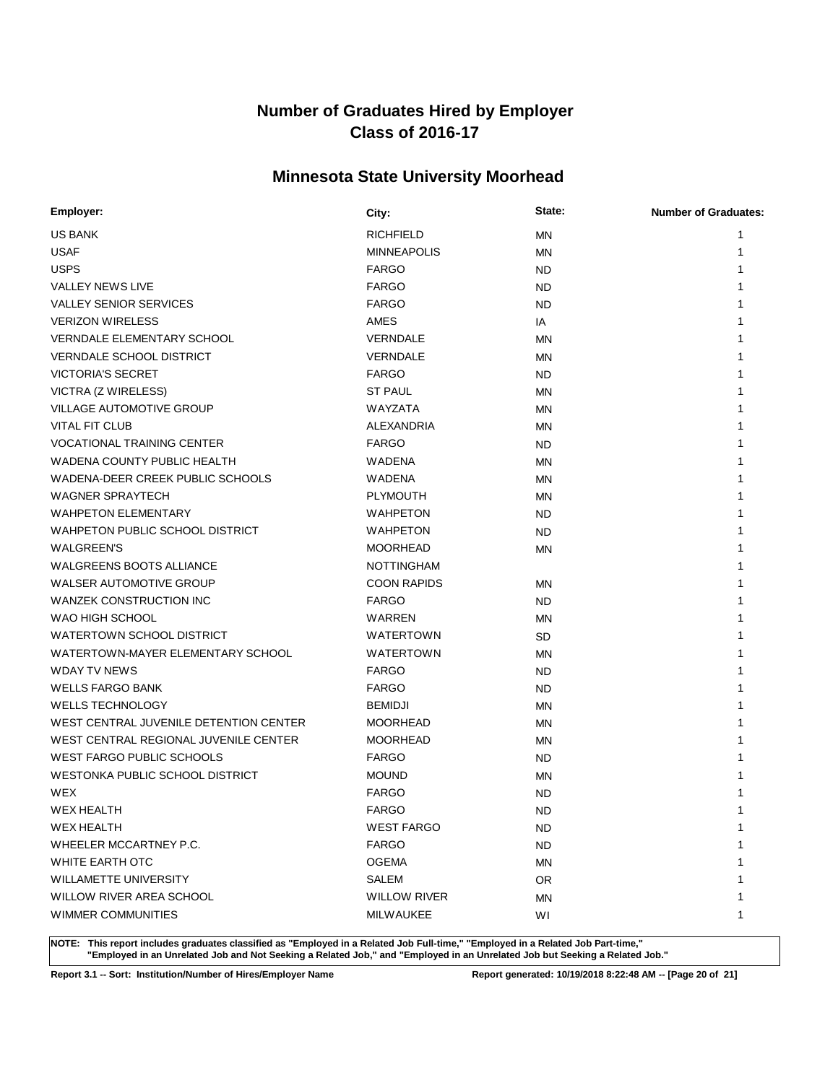# **Minnesota State University Moorhead**

| Employer:                              | City:               | State:    | <b>Number of Graduates:</b> |
|----------------------------------------|---------------------|-----------|-----------------------------|
| <b>US BANK</b>                         | <b>RICHFIELD</b>    | <b>MN</b> |                             |
| <b>USAF</b>                            | <b>MINNEAPOLIS</b>  | MN        | 1                           |
| <b>USPS</b>                            | <b>FARGO</b>        | <b>ND</b> |                             |
| <b>VALLEY NEWS LIVE</b>                | <b>FARGO</b>        | <b>ND</b> |                             |
| <b>VALLEY SENIOR SERVICES</b>          | <b>FARGO</b>        | <b>ND</b> |                             |
| <b>VERIZON WIRELESS</b>                | AMES                | IA        |                             |
| <b>VERNDALE ELEMENTARY SCHOOL</b>      | VERNDALE            | <b>MN</b> |                             |
| <b>VERNDALE SCHOOL DISTRICT</b>        | VERNDALE            | <b>MN</b> |                             |
| <b>VICTORIA'S SECRET</b>               | <b>FARGO</b>        | <b>ND</b> |                             |
| VICTRA (Z WIRELESS)                    | <b>ST PAUL</b>      | MN        |                             |
| <b>VILLAGE AUTOMOTIVE GROUP</b>        | WAYZATA             | MN        |                             |
| <b>VITAL FIT CLUB</b>                  | ALEXANDRIA          | <b>MN</b> |                             |
| <b>VOCATIONAL TRAINING CENTER</b>      | <b>FARGO</b>        | <b>ND</b> |                             |
| WADENA COUNTY PUBLIC HEALTH            | WADENA              | ΜN        |                             |
| WADENA-DEER CREEK PUBLIC SCHOOLS       | WADENA              | MN        |                             |
| <b>WAGNER SPRAYTECH</b>                | <b>PLYMOUTH</b>     | MN        |                             |
| <b>WAHPETON ELEMENTARY</b>             | <b>WAHPETON</b>     | <b>ND</b> |                             |
| WAHPETON PUBLIC SCHOOL DISTRICT        | <b>WAHPETON</b>     | <b>ND</b> |                             |
| <b>WALGREEN'S</b>                      | <b>MOORHEAD</b>     | MN        |                             |
| <b>WALGREENS BOOTS ALLIANCE</b>        | <b>NOTTINGHAM</b>   |           |                             |
| WALSER AUTOMOTIVE GROUP                | <b>COON RAPIDS</b>  | ΜN        |                             |
| WANZEK CONSTRUCTION INC                | <b>FARGO</b>        | <b>ND</b> |                             |
| WAO HIGH SCHOOL                        | <b>WARREN</b>       | MN        |                             |
| WATERTOWN SCHOOL DISTRICT              | WATERTOWN           | <b>SD</b> |                             |
| WATERTOWN-MAYER ELEMENTARY SCHOOL      | <b>WATERTOWN</b>    | ΜN        |                             |
| <b>WDAY TV NEWS</b>                    | <b>FARGO</b>        | <b>ND</b> |                             |
| <b>WELLS FARGO BANK</b>                | <b>FARGO</b>        | <b>ND</b> |                             |
| <b>WELLS TECHNOLOGY</b>                | <b>BEMIDJI</b>      | <b>MN</b> |                             |
| WEST CENTRAL JUVENILE DETENTION CENTER | <b>MOORHEAD</b>     | MN        |                             |
| WEST CENTRAL REGIONAL JUVENILE CENTER  | <b>MOORHEAD</b>     | MN        |                             |
| WEST FARGO PUBLIC SCHOOLS              | <b>FARGO</b>        | <b>ND</b> |                             |
| WESTONKA PUBLIC SCHOOL DISTRICT        | <b>MOUND</b>        | MN        |                             |
| WEX                                    | <b>FARGO</b>        | <b>ND</b> |                             |
| <b>WEX HEALTH</b>                      | <b>FARGO</b>        | <b>ND</b> | 1                           |
| <b>WEX HEALTH</b>                      | <b>WEST FARGO</b>   | <b>ND</b> | 1                           |
| WHEELER MCCARTNEY P.C.                 | <b>FARGO</b>        | <b>ND</b> |                             |
| WHITE EARTH OTC                        | <b>OGEMA</b>        | ΜN        |                             |
| <b>WILLAMETTE UNIVERSITY</b>           | SALEM               | OR.       |                             |
| WILLOW RIVER AREA SCHOOL               | <b>WILLOW RIVER</b> | ΜN        |                             |
| WIMMER COMMUNITIES                     | <b>MILWAUKEE</b>    | WI        | 1                           |

**NOTE: This report includes graduates classified as "Employed in a Related Job Full-time," "Employed in a Related Job Part-time," "Employed in an Unrelated Job and Not Seeking a Related Job," and "Employed in an Unrelated Job but Seeking a Related Job."**

**Report 3.1 -- Sort: Institution/Number of Hires/Employer Name Report generated: 10/19/2018 8:22:48 AM -- [Page 20 of 21]**